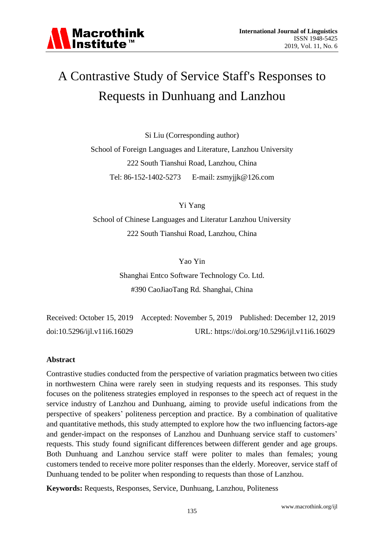

### A Contrastive Study of Service Staff's Responses to Requests in Dunhuang and Lanzhou

Si Liu (Corresponding author) School of Foreign Languages and Literature, Lanzhou University 222 South Tianshui Road, Lanzhou, China Tel: 86-152-1402-5273 E-mail: [zsmyjjk@126.com](mailto:zsmyjjk@126.com)

Yi Yang

School of Chinese Languages and Literatur Lanzhou University 222 South Tianshui Road, Lanzhou, China

Yao Yin

Shanghai Entco Software Technology Co. Ltd. #390 CaoJiaoTang Rd. Shanghai, China

Received: October 15, 2019 Accepted: November 5, 2019 Published: December 12, 2019 doi:10.5296/ijl.v11i6.16029 URL: https://doi.org/10.5296/ijl.v11i6.16029

#### **Abstract**

Contrastive studies conducted from the perspective of variation pragmatics between two cities in northwestern China were rarely seen in studying requests and its responses. This study focuses on the politeness strategies employed in responses to the speech act of request in the service industry of Lanzhou and Dunhuang, aiming to provide useful indications from the perspective of speakers' politeness perception and practice. By a combination of qualitative and quantitative methods, this study attempted to explore how the two influencing factors-age and gender-impact on the responses of Lanzhou and Dunhuang service staff to customers' requests. This study found significant differences between different gender and age groups. Both Dunhuang and Lanzhou service staff were politer to males than females; young customers tended to receive more politer responses than the elderly. Moreover, service staff of Dunhuang tended to be politer when responding to requests than those of Lanzhou.

**Keywords:** Requests, Responses, Service, Dunhuang, Lanzhou, Politeness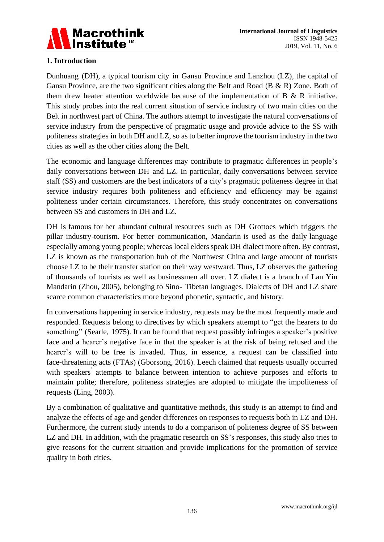

#### **1. Introduction**

Dunhuang (DH), a typical tourism city in Gansu Province and Lanzhou (LZ), the capital of Gansu Province, are the two significant cities along the Belt and Road (B & R) Zone. Both of them drew heater attention worldwide because of the implementation of B  $\&$  R initiative. This study probes into the real current situation of service industry of two main cities on the Belt in northwest part of China. The authors attempt to investigate the natural conversations of service industry from the perspective of pragmatic usage and provide advice to the SS with politeness strategies in both DH and LZ, so as to better improve the tourism industry in the two cities as well as the other cities along the Belt.

The economic and language differences may contribute to pragmatic differences in people's daily conversations between DH and LZ. In particular, daily conversations between service staff (SS) and customers are the best indicators of a city's pragmatic politeness degree in that service industry requires both politeness and efficiency and efficiency may be against politeness under certain circumstances. Therefore, this study concentrates on conversations between SS and customers in DH and LZ.

DH is famous for her abundant cultural resources such as DH Grottoes which triggers the pillar industry-tourism. For better communication, Mandarin is used as the daily language especially among young people; whereas local elders speak DH dialect more often. By contrast, LZ is known as the transportation hub of the Northwest China and large amount of tourists choose LZ to be their transfer station on their way westward. Thus, LZ observes the gathering of thousands of tourists as well as businessmen all over. LZ dialect is a branch of Lan Yin Mandarin (Zhou, 2005), belonging to Sino- Tibetan languages. Dialects of DH and LZ share scarce common characteristics more beyond phonetic, syntactic, and history.

In conversations happening in service industry, requests may be the most frequently made and responded. Requests belong to directives by which speakers attempt to "get the hearers to do something" (Searle, 1975). It can be found that request possibly infringes a speaker's positive face and a hearer's negative face in that the speaker is at the risk of being refused and the hearer's will to be free is invaded. Thus, in essence, a request can be classified into face-threatening acts (FTAs) (Gborsong, 2016). Leech claimed that requests usually occurred with speakers' attempts to balance between intention to achieve purposes and efforts to maintain polite; therefore, politeness strategies are adopted to mitigate the impoliteness of requests (Ling, 2003).

By a combination of qualitative and quantitative methods, this study is an attempt to find and analyze the effects of age and gender differences on responses to requests both in LZ and DH. Furthermore, the current study intends to do a comparison of politeness degree of SS between LZ and DH. In addition, with the pragmatic research on SS's responses, this study also tries to give reasons for the current situation and provide implications for the promotion of service quality in both cities.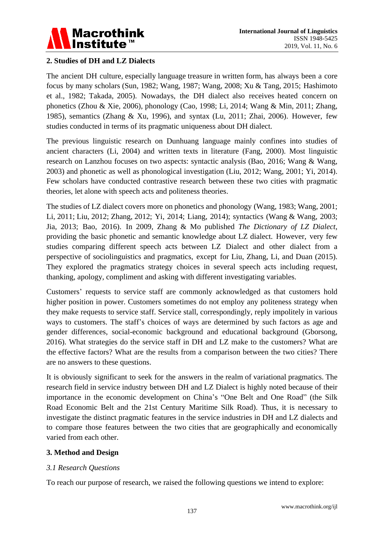

#### **2. Studies of DH and LZ Dialects**

The ancient DH culture, especially language treasure in written form, has always been a core focus by many scholars (Sun, 1982; Wang, 1987; Wang, 2008; Xu & Tang, 2015; Hashimoto et al., 1982; Takada, 2005). Nowadays, the DH dialect also receives heated concern on phonetics (Zhou & Xie, 2006), phonology (Cao, 1998; Li, 2014; Wang & Min, 2011; Zhang, 1985), semantics (Zhang & Xu, 1996), and syntax (Lu, 2011; Zhai, 2006). However, few studies conducted in terms of its pragmatic uniqueness about DH dialect.

The previous linguistic research on Dunhuang language mainly confines into studies of ancient characters (Li, 2004) and written texts in literature (Fang, 2000). Most linguistic research on Lanzhou focuses on two aspects: syntactic analysis (Bao, 2016; Wang & Wang, 2003) and phonetic as well as phonological investigation (Liu, 2012; Wang, 2001; Yi, 2014). Few scholars have conducted contrastive research between these two cities with pragmatic theories, let alone with speech acts and politeness theories.

The studies of LZ dialect covers more on phonetics and phonology (Wang, 1983; Wang, 2001; Li, 2011; Liu, 2012; Zhang, 2012; Yi, 2014; Liang, 2014); syntactics (Wang & Wang, 2003; Jia, 2013; Bao, 2016). In 2009, Zhang & Mo published *The Dictionary of LZ Dialect*, providing the basic phonetic and semantic knowledge about LZ dialect. However, very few studies comparing different speech acts between LZ Dialect and other dialect from a perspective of sociolinguistics and pragmatics, except for Liu, Zhang, Li, and Duan (2015). They explored the pragmatics strategy choices in several speech acts including request, thanking, apology, compliment and asking with different investigating variables.

Customers' requests to service staff are commonly acknowledged as that customers hold higher position in power. Customers sometimes do not employ any politeness strategy when they make requests to service staff. Service stall, correspondingly, reply impolitely in various ways to customers. The staff's choices of ways are determined by such factors as age and gender differences, social-economic background and educational background (Gborsong, 2016). What strategies do the service staff in DH and LZ make to the customers? What are the effective factors? What are the results from a comparison between the two cities? There are no answers to these questions.

It is obviously significant to seek for the answers in the realm of variational pragmatics. The research field in service industry between DH and LZ Dialect is highly noted because of their importance in the economic development on China's "One Belt and One Road" (the Silk Road Economic Belt and the 21st Century Maritime Silk Road). Thus, it is necessary to investigate the distinct pragmatic features in the service industries in DH and LZ dialects and to compare those features between the two cities that are geographically and economically varied from each other.

#### **3. Method and Design**

#### *3.1 Research Questions*

To reach our purpose of research, we raised the following questions we intend to explore: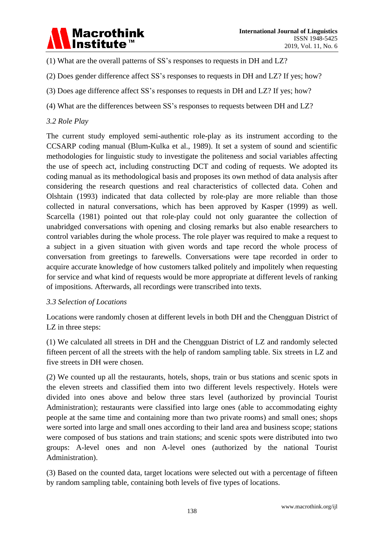## Macrothink<br>Institute™

(1) What are the overall patterns of SS's responses to requests in DH and LZ?

- (2) Does gender difference affect SS's responses to requests in DH and LZ? If yes; how?
- (3) Does age difference affect SS's responses to requests in DH and LZ? If yes; how?
- (4) What are the differences between SS's responses to requests between DH and LZ?

#### *3.2 Role Play*

The current study employed semi-authentic role-play as its instrument according to the CCSARP coding manual (Blum-Kulka et al., 1989). It set a system of sound and scientific methodologies for linguistic study to investigate the politeness and social variables affecting the use of speech act, including constructing DCT and coding of requests. We adopted its coding manual as its methodological basis and proposes its own method of data analysis after considering the research questions and real characteristics of collected data. Cohen and Olshtain (1993) indicated that data collected by role-play are more reliable than those collected in natural conversations, which has been approved by Kasper (1999) as well. Scarcella (1981) pointed out that role-play could not only guarantee the collection of unabridged conversations with opening and closing remarks but also enable researchers to control variables during the whole process. The role player was required to make a request to a subject in a given situation with given words and tape record the whole process of conversation from greetings to farewells. Conversations were tape recorded in order to acquire accurate knowledge of how customers talked politely and impolitely when requesting for service and what kind of requests would be more appropriate at different levels of ranking of impositions. Afterwards, all recordings were transcribed into texts.

#### *3.3 Selection of Locations*

Locations were randomly chosen at different levels in both DH and the Chengguan District of LZ in three steps:

(1) We calculated all streets in DH and the Chengguan District of LZ and randomly selected fifteen percent of all the streets with the help of random sampling table. Six streets in LZ and five streets in DH were chosen.

(2) We counted up all the restaurants, hotels, shops, train or bus stations and scenic spots in the eleven streets and classified them into two different levels respectively. Hotels were divided into ones above and below three stars level (authorized by provincial Tourist Administration); restaurants were classified into large ones (able to accommodating eighty people at the same time and containing more than two private rooms) and small ones; shops were sorted into large and small ones according to their land area and business scope; stations were composed of bus stations and train stations; and scenic spots were distributed into two groups: A-level ones and non A-level ones (authorized by the national Tourist Administration).

(3) Based on the counted data, target locations were selected out with a percentage of fifteen by random sampling table, containing both levels of five types of locations.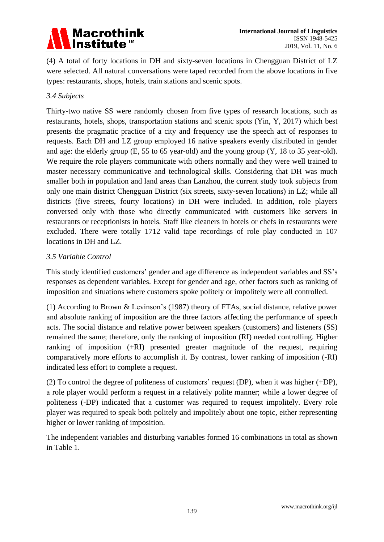## Macrothink<br>Institute™

(4) A total of forty locations in DH and sixty-seven locations in Chengguan District of LZ were selected. All natural conversations were taped recorded from the above locations in five types: restaurants, shops, hotels, train stations and scenic spots.

#### *3.4 Subjects*

Thirty-two native SS were randomly chosen from five types of research locations, such as restaurants, hotels, shops, transportation stations and scenic spots (Yin, Y, 2017) which best presents the pragmatic practice of a city and frequency use the speech act of responses to requests. Each DH and LZ group employed 16 native speakers evenly distributed in gender and age: the elderly group (E, 55 to 65 year-old) and the young group (Y, 18 to 35 year-old). We require the role players communicate with others normally and they were well trained to master necessary communicative and technological skills. Considering that DH was much smaller both in population and land areas than Lanzhou, the current study took subjects from only one main district Chengguan District (six streets, sixty-seven locations) in LZ; while all districts (five streets, fourty locations) in DH were included. In addition, role players conversed only with those who directly communicated with customers like servers in restaurants or receptionists in hotels. Staff like cleaners in hotels or chefs in restaurants were excluded. There were totally 1712 valid tape recordings of role play conducted in 107 locations in DH and LZ.

#### *3.5 Variable Control*

This study identified customers' gender and age difference as independent variables and SS's responses as dependent variables. Except for gender and age, other factors such as ranking of imposition and situations where customers spoke politely or impolitely were all controlled.

(1) According to Brown & Levinson's (1987) theory of FTAs, social distance, relative power and absolute ranking of imposition are the three factors affecting the performance of speech acts. The social distance and relative power between speakers (customers) and listeners (SS) remained the same; therefore, only the ranking of imposition (RI) needed controlling. Higher ranking of imposition (+RI) presented greater magnitude of the request, requiring comparatively more efforts to accomplish it. By contrast, lower ranking of imposition (-RI) indicated less effort to complete a request.

(2) To control the degree of politeness of customers' request (DP), when it was higher (+DP), a role player would perform a request in a relatively polite manner; while a lower degree of politeness (-DP) indicated that a customer was required to request impolitely. Every role player was required to speak both politely and impolitely about one topic, either representing higher or lower ranking of imposition.

The independent variables and disturbing variables formed 16 combinations in total as shown in Table 1.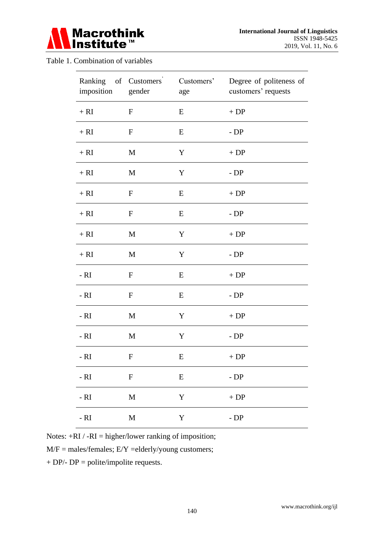

#### Table 1. Combination of variables

| Ranking of Customers<br>imposition | gender           | Customers'<br>age | Degree of politeness of<br>customers' requests |
|------------------------------------|------------------|-------------------|------------------------------------------------|
| $+ RI$                             | $\mathbf F$      | E                 | $+DP$                                          |
| $+ RI$                             | $\mathbf F$      | E                 | $-DP$                                          |
| $+ RI$                             | M                | Y                 | $+DP$                                          |
| $+ RI$                             | $\mathbf M$      | Y                 | $-DP$                                          |
| $+ RI$                             | F                | E                 | $+DP$                                          |
| $+ RI$                             | $\mathbf F$      | E                 | $-DP$                                          |
| $+ RI$                             | $\mathbf M$      | Y                 | $+DP$                                          |
| $+ RI$                             | M                | Y                 | - $DP$                                         |
| $- RI$                             | $\mathbf F$      | E                 | $+DP$                                          |
| $- RI$                             | $\mathbf F$      | E                 | - $DP$                                         |
| $- RI$                             | M                | $\mathbf Y$       | $+DP$                                          |
| $- RI$                             | M                | Y                 | $-DP$                                          |
| - RI                               | $\boldsymbol{F}$ | E                 | $+DP$                                          |
| - $RI$                             | ${\bf F}$        | E                 | $-DP$                                          |
| $- RI$                             | $\mathbf{M}$     | $\mathbf Y$       | $\boldsymbol{+}$ DP                            |
| $- RI$                             | $\mathbf M$      | Y                 | $-DP$                                          |

Notes:  $+RI / -RI = higher/lower ranking of)$  imposition;

 $M/F = males/ females; E/Y = elderly/young customers;$ 

 $+ DP$  - DP = polite/impolite requests.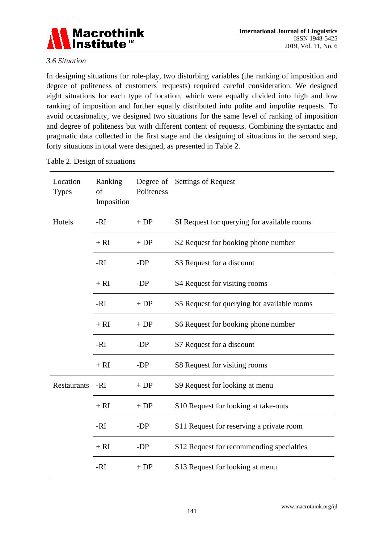

#### *3.6 Situation*

In designing situations for role-play, two disturbing variables (the ranking of imposition and degree of politeness of customers' requests) required careful consideration. We designed eight situations for each type of location, which were equally divided into high and low ranking of imposition and further equally distributed into polite and impolite requests. To avoid occasionality, we designed two situations for the same level of ranking of imposition and degree of politeness but with different content of requests. Combining the syntactic and pragmatic data collected in the first stage and the designing of situations in the second step, forty situations in total were designed, as presented in Table 2.

| Location<br><b>Types</b> | Ranking<br>of<br>Imposition | Politeness | Degree of Settings of Request               |  |  |
|--------------------------|-----------------------------|------------|---------------------------------------------|--|--|
| Hotels                   | -RI                         | $+DP$      | SI Request for querying for available rooms |  |  |
|                          | $+ RI$                      | $+DP$      | S2 Request for booking phone number         |  |  |
|                          | -RI                         | -DP        | S3 Request for a discount                   |  |  |
|                          | $+ RI$                      | -DP        | S4 Request for visiting rooms               |  |  |
|                          | -RI                         | $+DP$      | S5 Request for querying for available rooms |  |  |
|                          | $+ RI$                      | $+DP$      | S6 Request for booking phone number         |  |  |
|                          | -RI                         | -DP        | S7 Request for a discount                   |  |  |
|                          | $+ RI$                      | -DP        | S8 Request for visiting rooms               |  |  |
| Restaurants              | $-RI$                       | $+DP$      | S9 Request for looking at menu              |  |  |
|                          | $+ RI$                      | $+DP$      | S10 Request for looking at take-outs        |  |  |
|                          | -RI                         | -DP        | S11 Request for reserving a private room    |  |  |
|                          | $+ RI$                      | -DP        | S12 Request for recommending specialties    |  |  |
|                          | $-RI$                       | $+DP$      | S13 Request for looking at menu             |  |  |

Table 2. Design of situations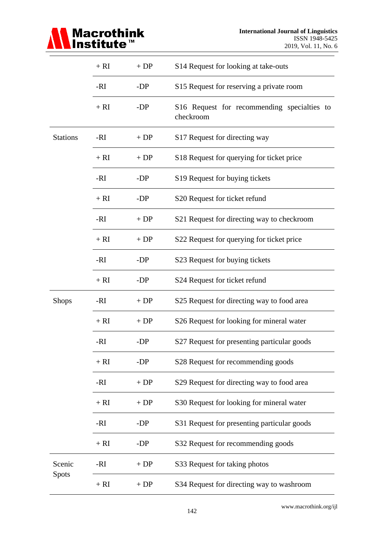

|                 | $+ RI$ | $+DP$ | S14 Request for looking at take-outs                     |  |  |  |  |
|-----------------|--------|-------|----------------------------------------------------------|--|--|--|--|
|                 | -RI    | -DP   | S15 Request for reserving a private room                 |  |  |  |  |
|                 | $+ RI$ | -DP   | S16 Request for recommending specialties to<br>checkroom |  |  |  |  |
| <b>Stations</b> | -RI    | $+DP$ | S17 Request for directing way                            |  |  |  |  |
|                 | $+ RI$ | $+DP$ | S18 Request for querying for ticket price                |  |  |  |  |
|                 | -RI    | -DP   | S19 Request for buying tickets                           |  |  |  |  |
|                 | $+ RI$ | -DP   | S20 Request for ticket refund                            |  |  |  |  |
|                 | -RI    | $+DP$ | S21 Request for directing way to checkroom               |  |  |  |  |
|                 | $+ RI$ | $+DP$ | S22 Request for querying for ticket price                |  |  |  |  |
|                 | -RI    | -DP   | S23 Request for buying tickets                           |  |  |  |  |
|                 | $+ RI$ | -DP   | S24 Request for ticket refund                            |  |  |  |  |
| <b>Shops</b>    | -RI    | $+DP$ | S25 Request for directing way to food area               |  |  |  |  |
|                 | $+ RI$ | $+DP$ | S26 Request for looking for mineral water                |  |  |  |  |
|                 | -RI    | -DP   | S27 Request for presenting particular goods              |  |  |  |  |
|                 | $+ RI$ | $-DP$ | S28 Request for recommending goods                       |  |  |  |  |
|                 | -RI    | $+DP$ | S29 Request for directing way to food area               |  |  |  |  |
|                 | $+ RI$ | $+DP$ | S30 Request for looking for mineral water                |  |  |  |  |
|                 | -RI    | -DP   | S31 Request for presenting particular goods              |  |  |  |  |
|                 | $+ RI$ | -DP   | S32 Request for recommending goods                       |  |  |  |  |
| Scenic          | -RI    | $+DP$ | S33 Request for taking photos                            |  |  |  |  |
| <b>Spots</b>    | $+ RI$ | $+DP$ | S34 Request for directing way to washroom                |  |  |  |  |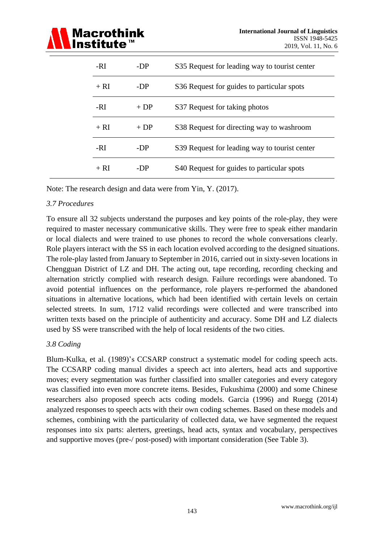

| -RI    | -DP   | S35 Request for leading way to tourist center |
|--------|-------|-----------------------------------------------|
| $+ RI$ | $-DP$ | S36 Request for guides to particular spots    |
| -RI    | $+DP$ | S37 Request for taking photos                 |
| $+ RI$ | $+DP$ | S38 Request for directing way to washroom     |
| -RI    | -DP   | S39 Request for leading way to tourist center |
| $+ RI$ | -DP   | S40 Request for guides to particular spots    |

Note: The research design and data were from Yin, Y. (2017).

#### *3.7 Procedures*

To ensure all 32 subjects understand the purposes and key points of the role-play, they were required to master necessary communicative skills. They were free to speak either mandarin or local dialects and were trained to use phones to record the whole conversations clearly. Role players interact with the SS in each location evolved according to the designed situations. The role-play lasted from January to September in 2016, carried out in sixty-seven locations in Chengguan District of LZ and DH. The acting out, tape recording, recording checking and alternation strictly complied with research design. Failure recordings were abandoned. To avoid potential influences on the performance, role players re-performed the abandoned situations in alternative locations, which had been identified with certain levels on certain selected streets. In sum, 1712 valid recordings were collected and were transcribed into written texts based on the principle of authenticity and accuracy. Some DH and LZ dialects used by SS were transcribed with the help of local residents of the two cities.

#### *3.8 Coding*

Blum-Kulka, et al. (1989)'s CCSARP construct a systematic model for coding speech acts. The CCSARP coding manual divides a speech act into alerters, head acts and supportive moves; every segmentation was further classified into smaller categories and every category was classified into even more concrete items. Besides, Fukushima (2000) and some Chinese researchers also proposed speech acts coding models. Garcia (1996) and Ruegg (2014) analyzed responses to speech acts with their own coding schemes. Based on these models and schemes, combining with the particularity of collected data, we have segmented the request responses into six parts: alerters, greetings, head acts, syntax and vocabulary, perspectives and supportive moves (pre-/ post-posed) with important consideration (See Table 3).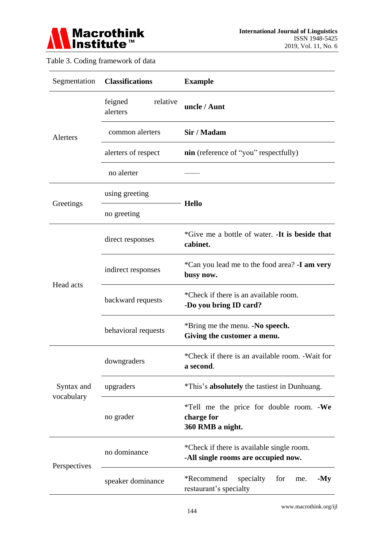

#### Table 3. Coding framework of data

| Segmentation               | <b>Classifications</b>          | <b>Example</b>                                                                   |  |  |  |  |  |
|----------------------------|---------------------------------|----------------------------------------------------------------------------------|--|--|--|--|--|
|                            | relative<br>feigned<br>alerters | uncle / Aunt                                                                     |  |  |  |  |  |
| <b>Alerters</b>            | common alerters                 | Sir / Madam                                                                      |  |  |  |  |  |
|                            | alerters of respect             | <b>nin</b> (reference of "you" respectfully)                                     |  |  |  |  |  |
|                            | no alerter                      |                                                                                  |  |  |  |  |  |
| Greetings                  | using greeting                  |                                                                                  |  |  |  |  |  |
|                            | no greeting                     | <b>Hello</b>                                                                     |  |  |  |  |  |
| Head acts                  | direct responses                | *Give me a bottle of water. -It is beside that<br>cabinet.                       |  |  |  |  |  |
|                            | indirect responses              | *Can you lead me to the food area? -I am very<br>busy now.                       |  |  |  |  |  |
|                            | backward requests               | *Check if there is an available room.<br>-Do you bring ID card?                  |  |  |  |  |  |
|                            | behavioral requests             | *Bring me the menu. -No speech.<br>Giving the customer a menu.                   |  |  |  |  |  |
|                            | downgraders                     | *Check if there is an available room. -Wait for<br>a second.                     |  |  |  |  |  |
| Syntax and                 | upgraders                       | <i>*This's</i> absolutely the tastiest in Dunhuang.                              |  |  |  |  |  |
|                            | no grader                       | *Tell me the price for double room. -We<br>charge for<br>360 RMB a night.        |  |  |  |  |  |
|                            | no dominance                    | *Check if there is available single room.<br>-All single rooms are occupied now. |  |  |  |  |  |
| vocabulary<br>Perspectives | speaker dominance               | *Recommend<br>specialty<br>for<br>$-My$<br>me.<br>restaurant's specialty         |  |  |  |  |  |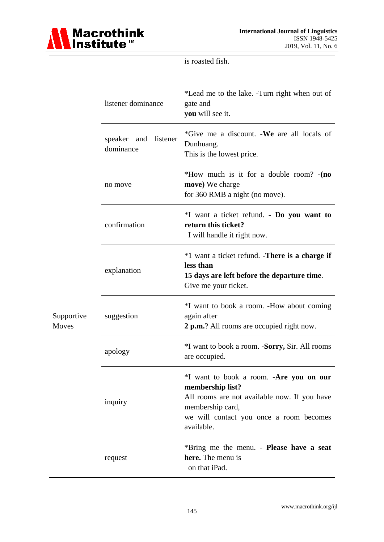

is roasted fish.

|                            | listener dominance                   | *Lead me to the lake. -Turn right when out of<br>gate and<br>you will see it.                                                                                                            |  |  |  |  |
|----------------------------|--------------------------------------|------------------------------------------------------------------------------------------------------------------------------------------------------------------------------------------|--|--|--|--|
|                            | speaker and<br>listener<br>dominance | *Give me a discount. - We are all locals of<br>Dunhuang.<br>This is the lowest price.                                                                                                    |  |  |  |  |
|                            | no move                              | *How much is it for a double room? -(no<br>move) We charge<br>for 360 RMB a night (no move).                                                                                             |  |  |  |  |
|                            | confirmation                         | *I want a ticket refund. - Do you want to<br>return this ticket?<br>I will handle it right now.                                                                                          |  |  |  |  |
|                            | explanation                          | *1 want a ticket refund. - <b>There is a charge if</b><br>less than<br>15 days are left before the departure time.<br>Give me your ticket.                                               |  |  |  |  |
| Supportive<br><b>Moves</b> | suggestion                           | *I want to book a room. -How about coming<br>again after<br>2 p.m.? All rooms are occupied right now.                                                                                    |  |  |  |  |
|                            | apology                              | <i>*I</i> want to book a room. - <b>Sorry</b> , Sir. All rooms<br>are occupied.                                                                                                          |  |  |  |  |
|                            | inquiry                              | *I want to book a room. -Are you on our<br>membership list?<br>All rooms are not available now. If you have<br>membership card,<br>we will contact you once a room becomes<br>available. |  |  |  |  |
|                            | request                              | *Bring me the menu. - Please have a seat<br>here. The menu is<br>on that iPad.                                                                                                           |  |  |  |  |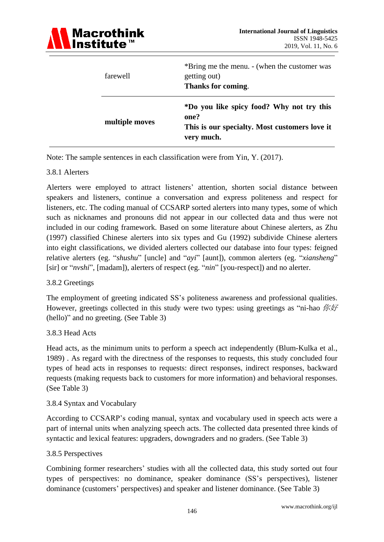

| farewell       | *Bring me the menu. - (when the customer was<br>getting out)<br>Thanks for coming.                               |
|----------------|------------------------------------------------------------------------------------------------------------------|
| multiple moves | *Do you like spicy food? Why not try this<br>one?<br>This is our specialty. Most customers love it<br>very much. |

Note: The sample sentences in each classification were from Yin, Y. (2017).

#### 3.8.1 Alerters

Alerters were employed to attract listeners' attention, shorten social distance between speakers and listeners, continue a conversation and express politeness and respect for listeners, etc. The coding manual of CCSARP sorted alerters into many types, some of which such as nicknames and pronouns did not appear in our collected data and thus were not included in our coding framework. Based on some literature about Chinese alerters, as Zhu (1997) classified Chinese alerters into six types and Gu (1992) subdivide Chinese alerters into eight classifications, we divided alerters collected our database into four types: feigned relative alerters (eg. "*shushu*" [uncle] and "*ayi*" [aunt]), common alerters (eg. "*xiansheng*" [sir] or "*nvshi*", [madam]), alerters of respect (eg. "*nin*" [you-respect]) and no alerter.

#### 3.8.2 Greetings

The employment of greeting indicated SS's politeness awareness and professional qualities. However, greetings collected in this study were two types: using greetings as "ni-hao  $\hat{W} \hat{H}$ (hello)" and no greeting. (See Table 3)

#### 3.8.3 Head Acts

Head acts, as the minimum units to perform a speech act independently (Blum-Kulka et al., 1989) . As regard with the directness of the responses to requests, this study concluded four types of head acts in responses to requests: direct responses, indirect responses, backward requests (making requests back to customers for more information) and behavioral responses. (See Table 3)

#### 3.8.4 Syntax and Vocabulary

According to CCSARP's coding manual, syntax and vocabulary used in speech acts were a part of internal units when analyzing speech acts. The collected data presented three kinds of syntactic and lexical features: upgraders, downgraders and no graders. (See Table 3)

#### 3.8.5 Perspectives

Combining former researchers' studies with all the collected data, this study sorted out four types of perspectives: no dominance, speaker dominance (SS's perspectives), listener dominance (customers' perspectives) and speaker and listener dominance. (See Table 3)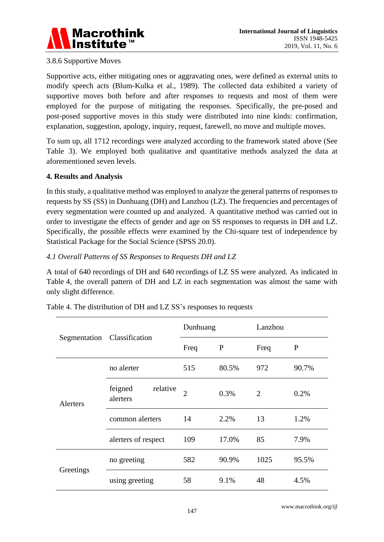

#### 3.8.6 Supportive Moves

Supportive acts, either mitigating ones or aggravating ones, were defined as external units to modify speech acts (Blum-Kulka et al., 1989). The collected data exhibited a variety of supportive moves both before and after responses to requests and most of them were employed for the purpose of mitigating the responses. Specifically, the pre-posed and post-posed supportive moves in this study were distributed into nine kinds: confirmation, explanation, suggestion, apology, inquiry, request, farewell, no move and multiple moves.

To sum up, all 1712 recordings were analyzed according to the framework stated above (See Table 3). We employed both qualitative and quantitative methods analyzed the data at aforementioned seven levels.

#### **4. Results and Analysis**

In this study, a qualitative method was employed to analyze the general patterns of responses to requests by SS (SS) in Dunhuang (DH) and Lanzhou (LZ). The frequencies and percentages of every segmentation were counted up and analyzed. A quantitative method was carried out in order to investigate the effects of gender and age on SS responses to requests in DH and LZ. Specifically, the possible effects were examined by the Chi-square test of independence by Statistical Package for the Social Science (SPSS 20.0).

#### *4.1 Overall Patterns of SS Responses to Requests DH and LZ*

A total of 640 recordings of DH and 640 recordings of LZ SS were analyzed. As indicated in Table 4, the overall pattern of DH and LZ in each segmentation was almost the same with only slight difference.

| Segmentation Classification |                     |                                                                                                                                                   |      | Lanzhou        |             |  |
|-----------------------------|---------------------|---------------------------------------------------------------------------------------------------------------------------------------------------|------|----------------|-------------|--|
|                             |                     | Dunhuang<br>$\mathbf{P}$<br>Freq<br>515<br>80.5%<br>relative<br>$\mathcal{D}_{\mathcal{A}}$<br>0.3%<br>14<br>2.2%<br>109<br>17.0%<br>582<br>90.9% |      | Freq           | $\mathbf P$ |  |
|                             | no alerter          |                                                                                                                                                   |      | 972            | 90.7%       |  |
| Alerters                    | feigned<br>alerters |                                                                                                                                                   |      | $\overline{2}$ | 0.2%        |  |
|                             | common alerters     |                                                                                                                                                   |      | 13             | 1.2%        |  |
|                             | alerters of respect |                                                                                                                                                   |      | 85             | 7.9%        |  |
|                             | no greeting         |                                                                                                                                                   |      | 1025           | 95.5%       |  |
| Greetings                   | using greeting      | 58                                                                                                                                                | 9.1% | 48             | 4.5%        |  |

Table 4. The distribution of DH and LZ SS's responses to requests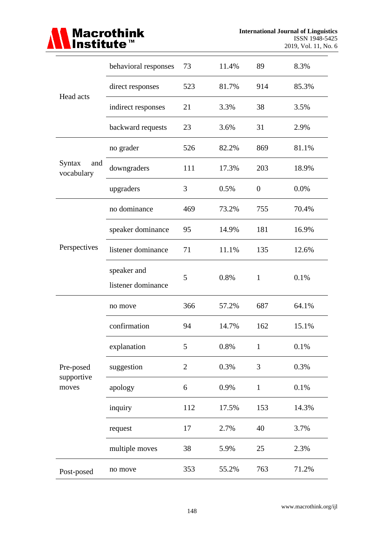

| Head acts                   | behavioral responses              | 73             | 11.4% | 89               | 8.3%  |
|-----------------------------|-----------------------------------|----------------|-------|------------------|-------|
|                             | direct responses                  | 523            | 81.7% | 914              | 85.3% |
|                             | indirect responses                | 21             | 3.3%  | 38               | 3.5%  |
|                             | backward requests                 | 23             | 3.6%  | 31               | 2.9%  |
|                             | no grader                         | 526            | 82.2% | 869              | 81.1% |
| Syntax<br>and<br>vocabulary | downgraders                       | 111            | 17.3% | 203              | 18.9% |
|                             | upgraders                         | 3              | 0.5%  | $\boldsymbol{0}$ | 0.0%  |
|                             | no dominance                      | 469            | 73.2% | 755              | 70.4% |
|                             | speaker dominance                 | 95             | 14.9% | 181              | 16.9% |
| Perspectives                | listener dominance                | 71             | 11.1% | 135              | 12.6% |
|                             | speaker and<br>listener dominance | 5              | 0.8%  | $\mathbf{1}$     | 0.1%  |
|                             | no move                           | 366            | 57.2% | 687              | 64.1% |
|                             | confirmation                      | 94             | 14.7% | 162              | 15.1% |
|                             | explanation                       | 5              | 0.8%  | $\mathbf{1}$     | 0.1%  |
| Pre-posed                   | suggestion                        | $\overline{2}$ | 0.3%  | 3                | 0.3%  |
| supportive<br>moves         | apology                           | 6              | 0.9%  | $\mathbf 1$      | 0.1%  |
|                             | inquiry                           | 112            | 17.5% | 153              | 14.3% |
|                             | request                           | 17             | 2.7%  | 40               | 3.7%  |
|                             | multiple moves                    | 38             | 5.9%  | 25               | 2.3%  |
| Post-posed                  | no move                           | 353            | 55.2% | 763              | 71.2% |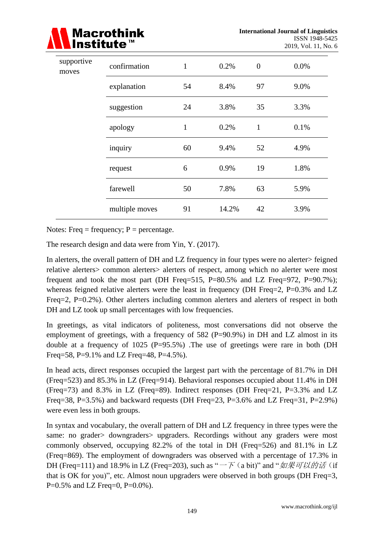

| supportive<br>moves | confirmation     | 1  | 0.2%  | $\overline{0}$ | 0.0% |
|---------------------|------------------|----|-------|----------------|------|
|                     | explanation      | 54 | 8.4%  | 97             | 9.0% |
|                     | 24<br>suggestion |    | 3.8%  | 35             | 3.3% |
|                     | apology          | 1  | 0.2%  | $\mathbf{1}$   | 0.1% |
|                     | inquiry          | 60 | 9.4%  | 52             | 4.9% |
|                     | request          | 6  | 0.9%  | 19             | 1.8% |
|                     | farewell         | 50 | 7.8%  | 63             | 5.9% |
|                     | multiple moves   | 91 | 14.2% | 42             | 3.9% |

Notes: Freq = frequency;  $P =$  percentage.

The research design and data were from Yin, Y. (2017).

In alerters, the overall pattern of DH and LZ frequency in four types were no alerter> feigned relative alerters> common alerters> alerters of respect, among which no alerter were most frequent and took the most part (DH Freq=515, P=80.5% and LZ Freq=972, P=90.7%); whereas feigned relative alerters were the least in frequency (DH Freq=2,  $P=0.3\%$  and LZ Freq=2, P=0.2%). Other alerters including common alerters and alerters of respect in both DH and LZ took up small percentages with low frequencies.

In greetings, as vital indicators of politeness, most conversations did not observe the employment of greetings, with a frequency of 582 ( $P=90.9\%$ ) in DH and LZ almost in its double at a frequency of 1025 (P=95.5%) .The use of greetings were rare in both (DH Freq=58, P=9.1% and LZ Freq=48, P=4.5%).

In head acts, direct responses occupied the largest part with the percentage of 81.7% in DH (Freq=523) and 85.3% in LZ (Freq=914). Behavioral responses occupied about 11.4% in DH (Freq=73) and 8.3% in LZ (Freq=89). Indirect responses (DH Freq=21, P=3.3% and LZ Freq=38, P=3.5%) and backward requests (DH Freq=23, P=3.6% and LZ Freq=31, P=2.9%) were even less in both groups.

In syntax and vocabulary, the overall pattern of DH and LZ frequency in three types were the same: no grader> downgraders> upgraders. Recordings without any graders were most commonly observed, occupying 82.2% of the total in DH (Freq=526) and 81.1% in LZ (Freq=869). The employment of downgraders was observed with a percentage of 17.3% in DH (Freq=111) and 18.9% in LZ (Freq=203), such as " $-\bar{F}$  (a bit)" and " $\frac{m}{m}$  $\bar{F}$  $\frac{m}{m}$  (if that is OK for you)", etc. Almost noun upgraders were observed in both groups (DH Freq=3, P=0.5% and LZ Freq=0, P=0.0%).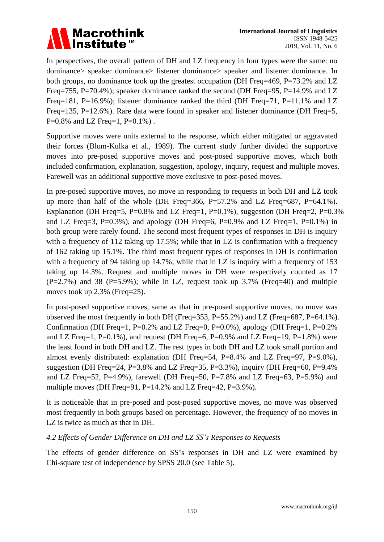### **Macrothink** Institute<sup>™</sup>

In perspectives, the overall pattern of DH and LZ frequency in four types were the same: no dominance> speaker dominance> listener dominance> speaker and listener dominance. In both groups, no dominance took up the greatest occupation (DH Freq=469, P=73.2% and LZ Freq=755, P=70.4%); speaker dominance ranked the second (DH Freq=95, P=14.9% and LZ Freq=181, P=16.9%); listener dominance ranked the third (DH Freq=71, P=11.1% and LZ Freq=135, P=12.6%). Rare data were found in speaker and listener dominance (DH Freq=5,  $P=0.8\%$  and LZ Freq=1,  $P=0.1\%$ ).

Supportive moves were units external to the response, which either mitigated or aggravated their forces (Blum-Kulka et al., 1989). The current study further divided the supportive moves into pre-posed supportive moves and post-posed supportive moves, which both included confirmation, explanation, suggestion, apology, inquiry, request and multiple moves. Farewell was an additional supportive move exclusive to post-posed moves.

In pre-posed supportive moves, no move in responding to requests in both DH and LZ took up more than half of the whole (DH Freq=366, P=57.2% and LZ Freq=687, P=64.1%). Explanation (DH Freq=5, P=0.8% and LZ Freq=1, P=0.1%), suggestion (DH Freq=2, P=0.3%) and LZ Freq=3, P=0.3%), and apology (DH Freq=6, P=0.9% and LZ Freq=1, P=0.1%) in both group were rarely found. The second most frequent types of responses in DH is inquiry with a frequency of 112 taking up 17.5%; while that in LZ is confirmation with a frequency of 162 taking up 15.1%. The third most frequent types of responses in DH is confirmation with a frequency of 94 taking up 14.7%; while that in LZ is inquiry with a frequency of 153 taking up 14.3%. Request and multiple moves in DH were respectively counted as 17  $(P=2.7\%)$  and 38  $(P=5.9\%)$ ; while in LZ, request took up 3.7% (Freq=40) and multiple moves took up 2.3% (Freq=25).

In post-posed supportive moves, same as that in pre-posed supportive moves, no move was observed the most frequently in both DH (Freq=353, P=55.2%) and LZ (Freq=687, P=64.1%). Confirmation (DH Freq=1, P=0.2% and LZ Freq=0, P=0.0%), apology (DH Freq=1, P=0.2% and LZ Freq=1, P=0.1%), and request (DH Freq=6, P=0.9% and LZ Freq=19, P=1.8%) were the least found in both DH and LZ. The rest types in both DH and LZ took small portion and almost evenly distributed: explanation (DH Freq=54, P=8.4% and LZ Freq=97, P=9.0%), suggestion (DH Freq=24, P=3.8% and LZ Freq=35, P=3.3%), inquiry (DH Freq=60, P=9.4% and LZ Freq=52, P=4.9%), farewell (DH Freq=50, P=7.8% and LZ Freq=63, P=5.9%) and multiple moves (DH Freq=91, P=14.2% and LZ Freq=42, P=3.9%).

It is noticeable that in pre-posed and post-posed supportive moves, no move was observed most frequently in both groups based on percentage. However, the frequency of no moves in LZ is twice as much as that in DH.

#### *4.2 Effects of Gender Difference on DH and LZ SS's Responses to Requests*

The effects of gender difference on SS's responses in DH and LZ were examined by Chi-square test of independence by SPSS 20.0 (see Table 5).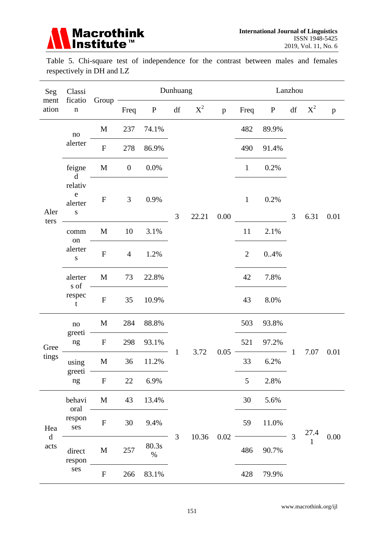

Table 5. Chi-square test of independence for the contrast between males and females respectively in DH and LZ

| Seg<br>ficatio<br>ment<br>ation<br>$\mathbf n$ | Classi                                         |                  | Dunhuang         |               |                        |       |              | Lanzhou        |          |                |                  |              |
|------------------------------------------------|------------------------------------------------|------------------|------------------|---------------|------------------------|-------|--------------|----------------|----------|----------------|------------------|--------------|
|                                                |                                                | Group            | Freq             | ${\bf P}$     | $\mathrm{d}\mathrm{f}$ | $X^2$ | $\mathbf{p}$ | Freq           | P        | df             | $X^2$            | $\mathbf{p}$ |
|                                                | $\mathbf{no}$                                  | M                | 237              | 74.1%         |                        |       |              | 482            | 89.9%    |                | 6.31             |              |
|                                                | alerter                                        | ${\bf F}$        | 278              | 86.9%         |                        |       |              | 490            | 91.4%    |                |                  |              |
|                                                | feigne<br>$\mathbf d$                          | $\mathbf M$      | $\boldsymbol{0}$ | $0.0\%$       |                        |       | $0.00\,$     | $\mathbf{1}$   | 0.2%     |                |                  | 0.01         |
| Aler<br>ters                                   | relativ<br>${\bf e}$<br>alerter<br>$\mathbf S$ | ${\bf F}$        | $\mathfrak{Z}$   | 0.9%          | 3                      | 22.21 |              | $\mathbf{1}$   | 0.2%     | 3              |                  |              |
|                                                | comm                                           | M                | 10               | 3.1%          |                        |       |              | 11             | 2.1%     |                |                  |              |
|                                                | on<br>alerter<br>${\bf S}$                     | ${\bf F}$        | $\overline{4}$   | 1.2%          |                        |       |              | $\overline{2}$ | 0.4%     |                |                  |              |
|                                                | alerter<br>s of<br>respec<br>$\mathbf t$       | $\mathbf M$      | 73               | 22.8%         |                        |       |              | 42             | 7.8%     |                |                  |              |
|                                                |                                                | ${\bf F}$        | 35               | 10.9%         |                        |       |              | 43             | 8.0%     |                |                  |              |
|                                                | no                                             | $\mathbf M$      | 284              | 88.8%         |                        | 3.72  | $0.05\,$     | 503            | 93.8%    |                | 7.07             | 0.01         |
| Gree                                           | greeti<br>ng                                   | ${\bf F}$        | 298              | 93.1%         |                        |       |              | 521            | 97.2%    |                |                  |              |
| tings                                          | using                                          | $\mathbf M$      | 36               | 11.2%         | $\mathbf{1}$           |       |              | 33             | 6.2%     | $\mathbf{1}$   |                  |              |
|                                                | greeti<br>ng                                   | $\boldsymbol{F}$ | 22               | 6.9%          |                        |       |              | 5              | 2.8%     |                |                  |              |
|                                                | behavi<br>oral                                 | $\mathbf M$      | 43               | 13.4%         |                        |       |              | 30             | 5.6%     |                |                  |              |
| Hea                                            | respon<br>ses                                  | ${\bf F}$        | 30               | 9.4%          | 3                      |       |              | 59             | $11.0\%$ | $\overline{3}$ | $\frac{27.4}{1}$ |              |
| $\mathbf d$<br>acts                            | direct<br>respon                               | M                | 257              | 80.3s<br>$\%$ |                        | 10.36 | 0.02         | 486            | 90.7%    |                |                  | 0.00         |
|                                                | ses                                            | ${\bf F}$        | 266              | 83.1%         |                        |       |              | 428            | 79.9%    |                |                  |              |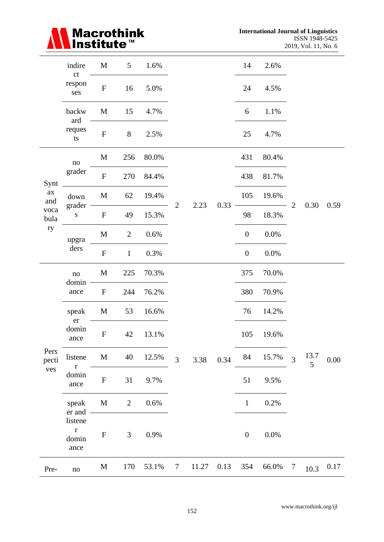

|                      | indire<br>ct                                      | M                         | 5              | 1.6%     |        |                        |      | 14               | 2.6%    |                |           |          |
|----------------------|---------------------------------------------------|---------------------------|----------------|----------|--------|------------------------|------|------------------|---------|----------------|-----------|----------|
|                      | respon<br>ses                                     | $\boldsymbol{\mathrm{F}}$ | 16             | 5.0%     |        |                        |      | 24               | 4.5%    |                |           |          |
|                      | backw<br>ard                                      | $\mathbf M$               | 15             | 4.7%     |        |                        |      | 6                | 1.1%    |                |           |          |
|                      | reques<br>ts                                      | ${\bf F}$                 | $8\,$          | 2.5%     |        |                        |      | 25               | 4.7%    |                |           |          |
|                      | no                                                | $\mathbf M$               | 256            | $80.0\%$ |        |                        |      | 431              | 80.4%   |                |           |          |
| Synt                 | grader                                            | ${\bf F}$                 | 270            | 84.4%    |        |                        |      | 438              | 81.7%   |                |           |          |
| $a\mathbf{x}$<br>and | down                                              | $\mathbf M$               | 62             | 19.4%    |        | $\overline{2}$<br>2.23 | 0.33 | 105              | 19.6%   | $\overline{2}$ |           | 0.59     |
| voca<br>bula         | grader<br>${\bf S}$                               | $\mathbf{F}$              | 49             | 15.3%    |        |                        |      | 98               | 18.3%   |                | 0.30      |          |
| ry                   | upgra<br>ders                                     | $\mathbf M$               | $\mathbf{2}$   | $0.6\%$  |        |                        |      | $\boldsymbol{0}$ | $0.0\%$ |                |           |          |
|                      |                                                   | ${\bf F}$                 | $\mathbf{1}$   | 0.3%     |        |                        |      | $\boldsymbol{0}$ | 0.0%    |                |           |          |
|                      | no<br>domin<br>ance                               | $\mathbf M$               | 225            | 70.3%    |        |                        |      | 375              | 70.0%   |                |           |          |
|                      |                                                   | $\mathbf{F}$              | 244            | 76.2%    |        |                        |      | 380              | 70.9%   |                |           |          |
|                      | speak<br>er                                       | $\mathbf M$               | 53             | 16.6%    |        |                        |      | 76               | 14.2%   |                |           |          |
|                      | domin<br>ance                                     | ${\bf F}$                 | 42             | 13.1%    |        |                        |      | 105              | 19.6%   |                |           |          |
| Pers<br>pecti        | listene<br>$\mathbf r$                            | $\mathbf M$               | 40             | 12.5%    | 3      | 3.38                   | 0.34 | 84               | 15.7%   | $\overline{3}$ | 13.7<br>5 | $0.00\,$ |
| ves                  | domin<br>ance                                     | $\boldsymbol{\mathrm{F}}$ | 31             | 9.7%     |        |                        |      | 51               | 9.5%    |                |           |          |
|                      | speak                                             | $\mathbf M$               | $\overline{2}$ | 0.6%     |        |                        |      | $\mathbf{1}$     | 0.2%    |                |           |          |
|                      | er and<br>listene<br>$\mathbf r$<br>domin<br>ance | $\boldsymbol{\mathrm{F}}$ | $\mathfrak{Z}$ | 0.9%     |        |                        |      | $\boldsymbol{0}$ | $0.0\%$ |                |           |          |
| Pre-                 | $\mathbf{no}$                                     | M                         | 170            | 53.1%    | $\tau$ | 11.27                  | 0.13 | 354              | 66.0%   | $\overline{7}$ | 10.3      | $0.17\,$ |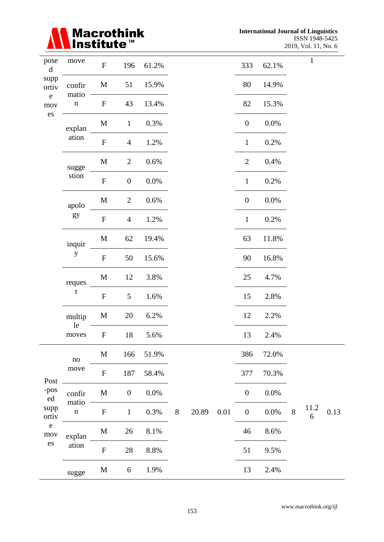

| pose<br>$\mathbf d$                                                                                      | move               | ${\bf F}$                 | 196              | 61.2%   |       |       |          | 333              | 62.1%   |       | $\mathbf{1}$ |      |
|----------------------------------------------------------------------------------------------------------|--------------------|---------------------------|------------------|---------|-------|-------|----------|------------------|---------|-------|--------------|------|
| supp<br>ortiv                                                                                            | confir             | M                         | 51               | 15.9%   |       |       |          | 80               | 14.9%   |       |              |      |
| $\mathbf{e}$<br>$_{\rm mov}$                                                                             | matio<br>${\bf n}$ | ${\bf F}$                 | 43               | 13.4%   |       |       |          | 82               | 15.3%   |       |              |      |
| $\mathop{\hbox{\rm es}}$                                                                                 | explan             | M                         | $\mathbf{1}$     | 0.3%    |       |       |          | $\boldsymbol{0}$ | 0.0%    |       |              |      |
|                                                                                                          | ation              | ${\bf F}$                 | $\overline{4}$   | 1.2%    |       |       |          | $\mathbf{1}$     | 0.2%    |       |              |      |
|                                                                                                          | sugge              | M                         | $\overline{2}$   | 0.6%    |       |       |          | $\overline{2}$   | 0.4%    |       |              |      |
|                                                                                                          | stion              | ${\bf F}$                 | $\boldsymbol{0}$ | 0.0%    |       |       |          | $\mathbf{1}$     | 0.2%    |       |              |      |
|                                                                                                          | apolo              | M                         | $\overline{2}$   | $0.6\%$ |       |       |          | $\boldsymbol{0}$ | $0.0\%$ |       |              |      |
|                                                                                                          | gy                 | ${\bf F}$                 | $\overline{4}$   | 1.2%    |       |       |          | $\mathbf{1}$     | 0.2%    |       |              |      |
|                                                                                                          | inquir             | M                         | 62               | 19.4%   |       |       |          | 63               | 11.8%   |       |              |      |
|                                                                                                          | $\mathbf{y}$       | ${\bf F}$                 | 50               | 15.6%   |       |       |          | 90               | 16.8%   |       |              |      |
|                                                                                                          | reques             | M                         | 12               | 3.8%    |       |       |          | 25               | 4.7%    |       |              |      |
|                                                                                                          | t                  | ${\bf F}$                 | 5                | 1.6%    |       |       |          | 15               | 2.8%    |       |              |      |
|                                                                                                          | multip<br>le       | M                         | 20               | 6.2%    |       |       |          | 12               | 2.2%    |       |              |      |
|                                                                                                          | moves              | $\boldsymbol{\mathrm{F}}$ | 18               | 5.6%    |       |       |          | 13               | 2.4%    |       |              |      |
|                                                                                                          | $\rm no$           | M                         | 166              | 51.9%   |       |       |          | 386              | 72.0%   |       |              |      |
| Post                                                                                                     | move               | ${\bf F}$                 | 187              | 58.4%   |       |       |          | 377              | 70.3%   |       |              |      |
| -pos<br>ed                                                                                               | confir             | M                         | $\boldsymbol{0}$ | 0.0%    |       |       |          | $\boldsymbol{0}$ | 0.0%    |       |              |      |
| matio<br>supp<br>$\mathbf n$<br>ortiv<br>${\bf e}$<br>mov<br>explan<br>$\mathop{\hbox{\rm es}}$<br>ation |                    | ${\bf F}$                 | $\mathbf{1}$     | 0.3%    | $8\,$ | 20.89 | $0.01\,$ | $\boldsymbol{0}$ | 0.0%    | $8\,$ | 11.2<br>6    | 0.13 |
|                                                                                                          | $\mathbf M$        | 26                        | $8.1\%$          |         |       |       | 46       | 8.6%             |         |       |              |      |
|                                                                                                          |                    | ${\bf F}$                 | 28               | $8.8\%$ |       |       |          | 51               | 9.5%    |       |              |      |
|                                                                                                          | sugge              | M                         | 6                | 1.9%    |       |       |          | 13               | 2.4%    |       |              |      |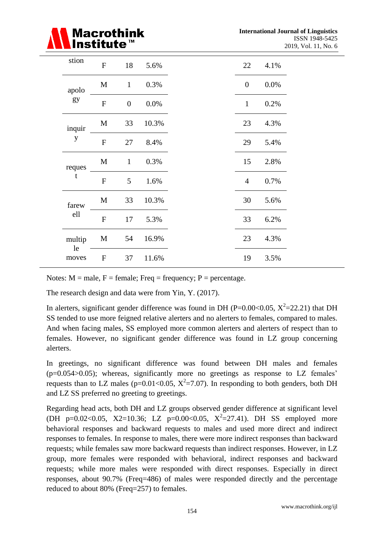| <b>A</b> Macrothink |
|---------------------|
|---------------------|

| stion        | ${\bf F}$    | 18             | 5.6%  | 22             | 4.1% |
|--------------|--------------|----------------|-------|----------------|------|
| apolo        | $\mathbf M$  | $\mathbf{1}$   | 0.3%  | $\overline{0}$ | 0.0% |
| gy           | ${\bf F}$    | $\overline{0}$ | 0.0%  | $\mathbf{1}$   | 0.2% |
| inquir       | $\mathbf M$  | 33             | 10.3% | 23             | 4.3% |
| $\mathbf{y}$ | ${\bf F}$    | 27             | 8.4%  | 29             | 5.4% |
| reques       | $\mathbf{M}$ | $\mathbf{1}$   | 0.3%  | 15             | 2.8% |
| $\mathbf t$  | $\mathbf{F}$ | 5              | 1.6%  | $\overline{4}$ | 0.7% |
| farew        | $\mathbf{M}$ | 33             | 10.3% | 30             | 5.6% |
| ell          | ${\bf F}$    | 17             | 5.3%  | 33             | 6.2% |
| multip       | M            | 54             | 16.9% | 23             | 4.3% |
| le<br>moves  | ${\bf F}$    | 37             | 11.6% | 19             | 3.5% |

Notes:  $M = male$ ,  $F = female$ ; Freq = frequency; P = percentage.

The research design and data were from Yin, Y. (2017).

In alerters, significant gender difference was found in DH (P=0.00<0.05,  $X^2$ =22.21) that DH SS tended to use more feigned relative alerters and no alerters to females, compared to males. And when facing males, SS employed more common alerters and alerters of respect than to females. However, no significant gender difference was found in LZ group concerning alerters.

In greetings, no significant difference was found between DH males and females  $(p=0.054>0.05)$ ; whereas, significantly more no greetings as response to LZ females' requests than to LZ males ( $p=0.01<0.05$ ,  $X^2=7.07$ ). In responding to both genders, both DH and LZ SS preferred no greeting to greetings.

Regarding head acts, both DH and LZ groups observed gender difference at significant level (DH p=0.02<0.05, X2=10.36; LZ p=0.00<0.05,  $X^2$ =27.41). DH SS employed more behavioral responses and backward requests to males and used more direct and indirect responses to females. In response to males, there were more indirect responses than backward requests; while females saw more backward requests than indirect responses. However, in LZ group, more females were responded with behavioral, indirect responses and backward requests; while more males were responded with direct responses. Especially in direct responses, about 90.7% (Freq=486) of males were responded directly and the percentage reduced to about 80% (Freq=257) to females.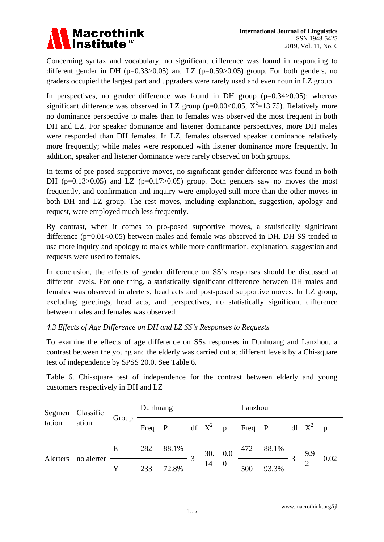### **Macrothink** Institute

Concerning syntax and vocabulary, no significant difference was found in responding to different gender in DH ( $p=0.33>0.05$ ) and LZ ( $p=0.59>0.05$ ) group. For both genders, no graders occupied the largest part and upgraders were rarely used and even noun in LZ group.

In perspectives, no gender difference was found in DH group  $(p=0.34>0.05)$ ; whereas significant difference was observed in LZ group (p=0.00<0.05,  $X^2$ =13.75). Relatively more no dominance perspective to males than to females was observed the most frequent in both DH and LZ. For speaker dominance and listener dominance perspectives, more DH males were responded than DH females. In LZ, females observed speaker dominance relatively more frequently; while males were responded with listener dominance more frequently. In addition, speaker and listener dominance were rarely observed on both groups.

In terms of pre-posed supportive moves, no significant gender difference was found in both DH ( $p=0.13>0.05$ ) and LZ ( $p=0.17>0.05$ ) group. Both genders saw no moves the most frequently, and confirmation and inquiry were employed still more than the other moves in both DH and LZ group. The rest moves, including explanation, suggestion, apology and request, were employed much less frequently.

By contrast, when it comes to pro-posed supportive moves, a statistically significant difference  $(p=0.01<0.05)$  between males and female was observed in DH. DH SS tended to use more inquiry and apology to males while more confirmation, explanation, suggestion and requests were used to females.

In conclusion, the effects of gender difference on SS's responses should be discussed at different levels. For one thing, a statistically significant difference between DH males and females was observed in alerters, head acts and post-posed supportive moves. In LZ group, excluding greetings, head acts, and perspectives, no statistically significant difference between males and females was observed.

#### *4.3 Effects of Age Difference on DH and LZ SS's Responses to Requests*

To examine the effects of age difference on SSs responses in Dunhuang and Lanzhou, a contrast between the young and the elderly was carried out at different levels by a Chi-square test of independence by SPSS 20.0. See Table 6.

Table 6. Chi-square test of independence for the contrast between elderly and young customers respectively in DH and LZ

| Segmen Classific |            | Group | Dunhuang |       |  |         | Lanzhou        |                   |       |  |            |      |
|------------------|------------|-------|----------|-------|--|---------|----------------|-------------------|-------|--|------------|------|
| tation           | ation      |       | Freq P   |       |  |         |                | df $X^2$ p Freq P |       |  | df $X^2$ p |      |
|                  |            | E     | 282      | 88.1% |  | 30. 0.0 |                | 472               | 88.1% |  | 9.9        |      |
| Alerters         | no alerter | Y     | 233      | 72.8% |  | 14      | $\overline{0}$ | 500               | 93.3% |  |            | 0.02 |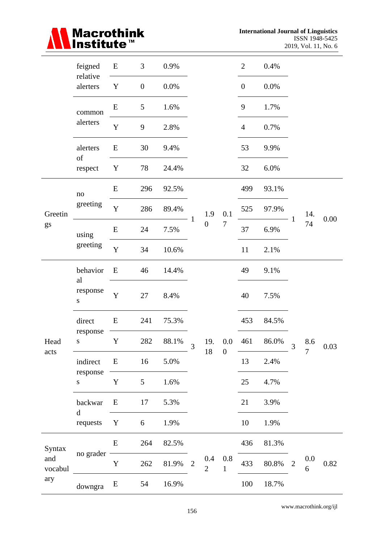

|                                   | feigned<br>relative      | ${\bf E}$   | $\mathfrak{Z}$   | 0.9%  |                          |                           |                     | $\mathbf{2}$     | 0.4%  |                |                |      |
|-----------------------------------|--------------------------|-------------|------------------|-------|--------------------------|---------------------------|---------------------|------------------|-------|----------------|----------------|------|
|                                   | alerters                 | $\mathbf Y$ | $\boldsymbol{0}$ | 0.0%  |                          |                           |                     | $\boldsymbol{0}$ | 0.0%  |                |                |      |
|                                   | common                   | E           | 5                | 1.6%  |                          |                           |                     | 9                | 1.7%  |                |                |      |
|                                   | alerters                 | $\mathbf Y$ | $\mathbf{9}$     | 2.8%  |                          |                           |                     | $\overline{4}$   | 0.7%  |                |                |      |
|                                   | alerters                 | E           | 30               | 9.4%  |                          |                           |                     | 53               | 9.9%  |                |                |      |
|                                   | $\mathrm{of}$<br>respect | Y           | 78               | 24.4% |                          |                           |                     | 32               | 6.0%  |                |                |      |
|                                   | $\mathbf{no}$            | ${\bf E}$   | 296              | 92.5% |                          |                           |                     | 499              | 93.1% |                |                |      |
| Greetin                           | greeting                 | $\mathbf Y$ | 286              | 89.4% |                          | 1.9                       | 0.1                 | 525              | 97.9% |                | 14.            | 0.00 |
| gs                                | using                    | ${\bf E}$   | 24               | 7.5%  | 1                        | $\boldsymbol{0}$          | $\boldsymbol{7}$    | 37               | 6.9%  | 1              | 74             |      |
|                                   | greeting                 | Y           | 34               | 10.6% |                          |                           |                     | 11               | 2.1%  |                |                |      |
|                                   | behavior<br>al           | E           | 46               | 14.4% |                          |                           |                     | 49               | 9.1%  |                |                |      |
|                                   | response<br>S            | Y           | 27               | 8.4%  |                          |                           |                     | 40               | 7.5%  |                |                |      |
|                                   | direct                   | ${\bf E}$   | 241              | 75.3% |                          |                           |                     | 453              | 84.5% |                |                |      |
| Head                              | response<br>${\bf S}$    | $\mathbf Y$ | 282              | 88.1% | $\overline{\mathcal{E}}$ | 19.                       | $0.0\,$             | 461              | 86.0% | 3              | 8.6            | 0.03 |
| acts                              | indirect                 | E           | 16               | 5.0%  |                          | $18\,$                    | $\boldsymbol{0}$    | 13               | 2.4%  |                | $\overline{7}$ |      |
|                                   | response<br>${\bf S}$    | $\mathbf Y$ | 5                | 1.6%  |                          |                           |                     | 25               | 4.7%  |                |                |      |
|                                   | backwar                  | ${\bf E}$   | 17               | 5.3%  |                          |                           |                     | 21               | 3.9%  |                |                |      |
| $\mathbf d$<br>requests<br>Syntax | Y                        | 6           | 1.9%             |       |                          |                           | 10                  | 1.9%             |       |                |                |      |
|                                   |                          | E           | 264              | 82.5% |                          |                           |                     | 436              | 81.3% |                |                |      |
| and<br>vocabul                    | no grader                | $\mathbf Y$ | 262              | 81.9% | $\overline{2}$           | $0.4\,$<br>$\overline{2}$ | 0.8<br>$\mathbf{1}$ | 433              | 80.8% | $\overline{2}$ | 0.0<br>6       | 0.82 |
| ary                               | downgra                  | E           | 54               | 16.9% |                          |                           |                     | 100              | 18.7% |                |                |      |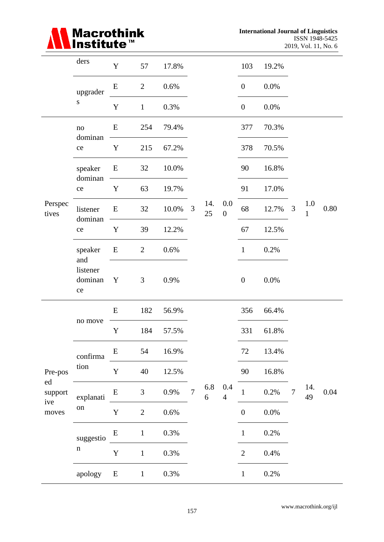# Macrothink<br>Institute™

|                               | ders                              | $\mathbf Y$ | 57             | 17.8%   |                |                         |                           | 103              | 19.2% |                |                     |          |
|-------------------------------|-----------------------------------|-------------|----------------|---------|----------------|-------------------------|---------------------------|------------------|-------|----------------|---------------------|----------|
|                               | upgrader                          | ${\bf E}$   | $\overline{2}$ | 0.6%    |                |                         |                           | $\boldsymbol{0}$ | 0.0%  |                |                     |          |
|                               | ${\bf S}$                         | $\mathbf Y$ | $\mathbf{1}$   | 0.3%    |                |                         |                           | $\boldsymbol{0}$ | 0.0%  |                |                     |          |
|                               | $\rm no$                          | E           | 254            | 79.4%   |                |                         |                           | 377              | 70.3% |                |                     |          |
|                               | dominan<br>$\rm ce$               | $\mathbf Y$ | 215            | 67.2%   |                |                         |                           | 378              | 70.5% |                |                     |          |
|                               | speaker                           | E           | 32             | 10.0%   |                |                         |                           | 90               | 16.8% |                |                     |          |
|                               | dominan<br>ce                     | Y           | 63             | 19.7%   |                |                         |                           | 91               | 17.0% |                |                     |          |
| Perspec<br>tives              | listener                          | ${\bf E}$   | 32             | 10.0%   | 3              | 14.<br>25               | 0.0<br>$\boldsymbol{0}$   | 68               | 12.7% | $\mathfrak{Z}$ | 1.0<br>$\mathbf{1}$ | $0.80\,$ |
|                               | dominan<br>ce                     | $\mathbf Y$ | 39             | 12.2%   |                |                         |                           | 67               | 12.5% |                |                     |          |
|                               | speaker<br>and                    | E           | $\overline{2}$ | 0.6%    |                |                         |                           | $\mathbf{1}$     | 0.2%  |                |                     |          |
|                               | listener<br>dominan<br>${\rm ce}$ | Y           | 3              | 0.9%    |                |                         |                           | $\boldsymbol{0}$ | 0.0%  |                |                     |          |
|                               |                                   | ${\bf E}$   | 182            | 56.9%   |                |                         |                           | 356              | 66.4% |                |                     |          |
|                               | no move                           | $\mathbf Y$ | 184            | 57.5%   |                |                         |                           | 331              | 61.8% |                |                     |          |
|                               | confirma                          | ${\bf E}$   | 54             | 16.9%   |                |                         |                           | $72\,$           | 13.4% |                |                     |          |
| Pre-pos                       | tion                              | $\mathbf Y$ | 40             | 12.5%   |                |                         |                           | 90               | 16.8% |                |                     |          |
| ed<br>support<br>ive<br>moves | explanati                         | ${\bf E}$   | 3              | 0.9%    | $\overline{7}$ | 6.8<br>$\boldsymbol{6}$ | $0.4\,$<br>$\overline{4}$ | $\mathbf{1}$     | 0.2%  | $\overline{7}$ | 14.<br>49           | 0.04     |
|                               | on                                | $\mathbf Y$ | $\overline{2}$ | $0.6\%$ |                |                         |                           | $\boldsymbol{0}$ | 0.0%  |                |                     |          |
|                               | suggestio                         | ${\bf E}$   | $\mathbf{1}$   | $0.3\%$ |                |                         |                           | $\mathbf{1}$     | 0.2%  |                |                     |          |
|                               | $\mathbf n$                       | $\mathbf Y$ | $\mathbf{1}$   | 0.3%    |                |                         |                           | $\mathfrak{2}$   | 0.4%  |                |                     |          |
|                               | apology                           | E           | $\mathbf{1}$   | 0.3%    |                |                         |                           | $\mathbf{1}$     | 0.2%  |                |                     |          |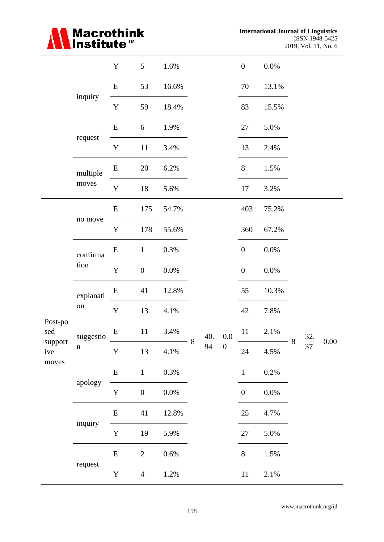# Macrothink<br>∎Institute™

|                |             | $\mathbf Y$ | 5                | 1.6%    |   |      |         | $\boldsymbol{0}$ | $0.0\%$ |   |     |          |
|----------------|-------------|-------------|------------------|---------|---|------|---------|------------------|---------|---|-----|----------|
|                |             | E           | 53               | 16.6%   |   |      |         | $70\,$           | 13.1%   |   |     |          |
|                | inquiry     | $\mathbf Y$ | 59               | 18.4%   |   |      |         | 83               | 15.5%   |   |     |          |
|                |             | ${\bf E}$   | 6                | 1.9%    |   |      |         | 27               | 5.0%    |   |     |          |
|                | request     | $\mathbf Y$ | 11               | 3.4%    |   |      |         | 13               | 2.4%    |   |     |          |
|                | multiple    | ${\bf E}$   | 20               | 6.2%    |   |      |         | $8\phantom{.}$   | 1.5%    |   |     |          |
|                | moves       | $\mathbf Y$ | 18               | 5.6%    |   |      |         | 17               | 3.2%    |   |     |          |
|                |             | ${\bf E}$   | 175              | 54.7%   |   |      |         | 403              | 75.2%   |   |     |          |
|                | no move     | $\mathbf Y$ | 178              | 55.6%   |   |      |         | 360              | 67.2%   |   |     |          |
|                | confirma    | ${\bf E}$   | $\mathbf{1}$     | 0.3%    |   |      |         | $\boldsymbol{0}$ | $0.0\%$ |   |     |          |
|                | tion        | $\mathbf Y$ | $\boldsymbol{0}$ | $0.0\%$ |   |      |         | $\boldsymbol{0}$ | 0.0%    |   |     |          |
|                | explanati   | ${\bf E}$   | 41               | 12.8%   |   |      |         | 55               | 10.3%   |   |     |          |
|                | on          | $\mathbf Y$ | 13               | 4.1%    |   |      |         | 42               | $7.8\%$ |   |     |          |
| Post-po<br>sed | suggestio   | ${\bf E}$   | 11               | 3.4%    |   | 40.  | $0.0\,$ | 11               | 2.1%    |   | 32. |          |
| support<br>ive | $\mathbf n$ | $\mathbf Y$ | 13               | 4.1%    | 8 | 94 0 |         | 24               | 4.5%    | 8 | 37  | $0.00\,$ |
| moves          |             | ${\bf E}$   | $\mathbf{1}$     | $0.3\%$ |   |      |         | $\mathbf{1}$     | $0.2\%$ |   |     |          |
|                | apology     | $\mathbf Y$ | $\boldsymbol{0}$ | $0.0\%$ |   |      |         | $\boldsymbol{0}$ | $0.0\%$ |   |     |          |
|                |             | ${\bf E}$   | 41               | 12.8%   |   |      |         | 25               | 4.7%    |   |     |          |
|                | inquiry     | $\mathbf Y$ | 19               | 5.9%    |   |      |         | $27\,$           | 5.0%    |   |     |          |
|                |             | ${\bf E}$   | $\overline{2}$   | $0.6\%$ |   |      |         | 8                | 1.5%    |   |     |          |
|                | request     | $\mathbf Y$ | $\overline{4}$   | 1.2%    |   |      |         | $11\,$           | 2.1%    |   |     |          |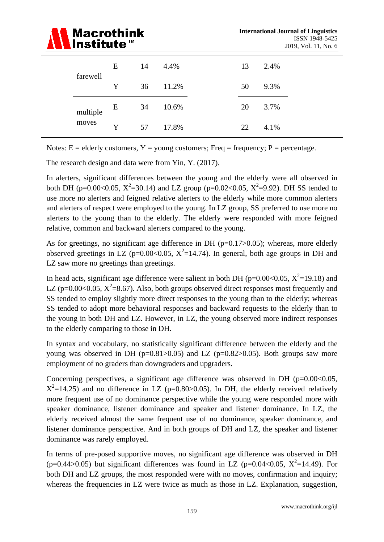

| farewell | E | 14 | 4.4%  | 13 | 2.4% |
|----------|---|----|-------|----|------|
|          | Y | 36 | 11.2% | 50 | 9.3% |
| multiple | E | 34 | 10.6% | 20 | 3.7% |
| moves    | Y | 57 | 17.8% | 22 | 4.1% |

Notes:  $E =$  elderly customers,  $Y =$  young customers; Freq = frequency; P = percentage.

The research design and data were from Yin, Y. (2017).

In alerters, significant differences between the young and the elderly were all observed in both DH (p=0.00<0.05,  $X^2$ =30.14) and LZ group (p=0.02<0.05,  $X^2$ =9.92). DH SS tended to use more no alerters and feigned relative alerters to the elderly while more common alerters and alerters of respect were employed to the young. In LZ group, SS preferred to use more no alerters to the young than to the elderly. The elderly were responded with more feigned relative, common and backward alerters compared to the young.

As for greetings, no significant age difference in DH ( $p=0.17>0.05$ ); whereas, more elderly observed greetings in LZ (p=0.00<0.05,  $X^2$ =14.74). In general, both age groups in DH and LZ saw more no greetings than greetings.

In head acts, significant age difference were salient in both DH ( $p=0.00<0.05$ ,  $X^2=19.18$ ) and LZ (p=0.00<0.05,  $X^2$ =8.67). Also, both groups observed direct responses most frequently and SS tended to employ slightly more direct responses to the young than to the elderly; whereas SS tended to adopt more behavioral responses and backward requests to the elderly than to the young in both DH and LZ. However, in LZ, the young observed more indirect responses to the elderly comparing to those in DH.

In syntax and vocabulary, no statistically significant difference between the elderly and the young was observed in DH ( $p=0.81>0.05$ ) and LZ ( $p=0.82>0.05$ ). Both groups saw more employment of no graders than downgraders and upgraders.

Concerning perspectives, a significant age difference was observed in DH  $(p=0.00<0.05$ ,  $X^2$ =14.25) and no difference in LZ (p=0.80>0.05). In DH, the elderly received relatively more frequent use of no dominance perspective while the young were responded more with speaker dominance, listener dominance and speaker and listener dominance. In LZ, the elderly received almost the same frequent use of no dominance, speaker dominance, and listener dominance perspective. And in both groups of DH and LZ, the speaker and listener dominance was rarely employed.

In terms of pre-posed supportive moves, no significant age difference was observed in DH (p=0.44>0.05) but significant differences was found in LZ (p=0.04<0.05,  $X^2$ =14.49). For both DH and LZ groups, the most responded were with no moves, confirmation and inquiry; whereas the frequencies in LZ were twice as much as those in LZ. Explanation, suggestion,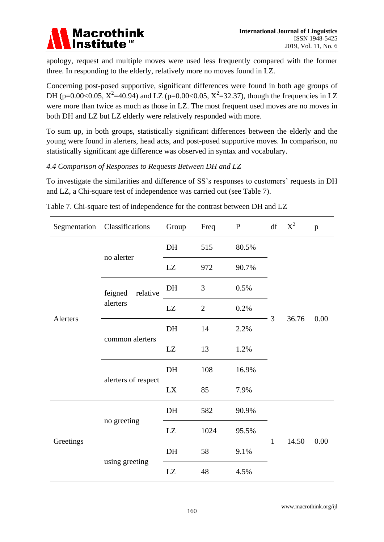

apology, request and multiple moves were used less frequently compared with the former three. In responding to the elderly, relatively more no moves found in LZ.

Concerning post-posed supportive, significant differences were found in both age groups of DH (p=0.00<0.05,  $X^2$ =40.94) and LZ (p=0.00<0.05,  $X^2$ =32.37), though the frequencies in LZ were more than twice as much as those in LZ. The most frequent used moves are no moves in both DH and LZ but LZ elderly were relatively responded with more.

To sum up, in both groups, statistically significant differences between the elderly and the young were found in alerters, head acts, and post-posed supportive moves. In comparison, no statistically significant age difference was observed in syntax and vocabulary.

#### *4.4 Comparison of Responses to Requests Between DH and LZ*

To investigate the similarities and difference of SS's responses to customers' requests in DH and LZ, a Chi-square test of independence was carried out (see Table 7).

|           | Segmentation Classifications | Group | Freq           | $\mathbf{P}$ |              | $df = X^2$ | $\mathbf{p}$ |  |
|-----------|------------------------------|-------|----------------|--------------|--------------|------------|--------------|--|
|           |                              | DH    | 515            | 80.5%        |              |            |              |  |
|           | no alerter                   | LZ    | 972            | 90.7%        |              |            |              |  |
|           | feigned<br>relative          | DH    | 3              | 0.5%         |              | 36.76      |              |  |
|           | alerters                     | LZ    | $\overline{2}$ | 0.2%         | 3            |            | 0.00         |  |
| Alerters  |                              | DH    | 14             | 2.2%         |              |            |              |  |
|           | common alerters              | LZ    | 13             | 1.2%         |              |            |              |  |
|           |                              | DH    | 108            | 16.9%        |              |            |              |  |
|           | alerters of respect -        | LX    | 85             | 7.9%         |              |            |              |  |
|           |                              | DH    | 582            | 90.9%        |              |            |              |  |
| Greetings | no greeting                  | LZ    | 1024           | 95.5%        |              |            |              |  |
|           |                              | DH    | 58             | 9.1%         | $\mathbf{1}$ | 14.50      | 0.00         |  |
|           | using greeting               | LZ    | 48             | 4.5%         |              |            |              |  |

Table 7. Chi-square test of independence for the contrast between DH and LZ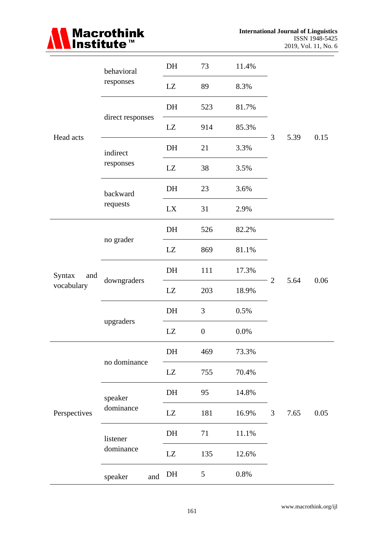

|               | behavioral       | DH | 73               | 11.4%   |                |      |      |
|---------------|------------------|----|------------------|---------|----------------|------|------|
|               | responses        | LZ | 89               | 8.3%    |                |      |      |
|               |                  | DH | 523              | 81.7%   |                |      |      |
|               | direct responses | LZ | 914              | 85.3%   |                |      |      |
| Head acts     | indirect         | DH | 21               | 3.3%    | $\mathfrak{Z}$ | 5.39 | 0.15 |
|               | responses        | LZ | 38               | 3.5%    |                |      |      |
|               | backward         | DH | 23               | 3.6%    |                |      |      |
|               | requests         | LX | 31               | 2.9%    |                |      |      |
|               |                  | DH | 526              | 82.2%   |                |      |      |
|               | no grader        | LZ | 869              | 81.1%   |                |      |      |
| Syntax<br>and |                  | DH | 111              | 17.3%   |                |      |      |
| vocabulary    | downgraders      | LZ | 203              | 18.9%   | 2              | 5.64 | 0.06 |
|               |                  | DH | 3                | 0.5%    |                |      |      |
|               | upgraders        | LZ | $\boldsymbol{0}$ | 0.0%    |                |      |      |
|               |                  | DH | 469              | 73.3%   |                |      |      |
|               | no dominance     | LZ | 755              | 70.4%   |                |      |      |
|               | speaker          | DH | 95               | 14.8%   |                |      |      |
| Perspectives  | dominance        | LZ | 181              | 16.9%   | $\mathfrak{Z}$ | 7.65 | 0.05 |
|               | listener         | DH | 71               | 11.1%   |                |      |      |
|               | dominance        | LZ | 135              | 12.6%   |                |      |      |
|               | speaker<br>and   | DH | 5                | $0.8\%$ |                |      |      |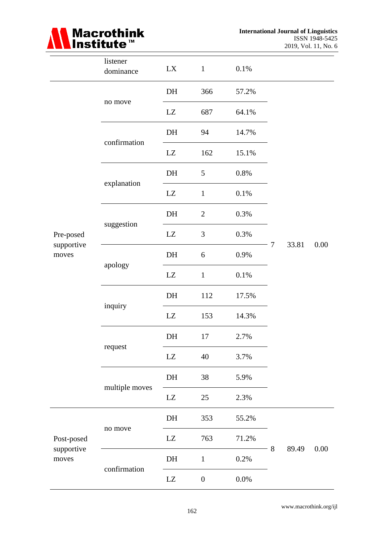

**International Journal of Linguistics** ISSN 1948-5425 2019, Vol. 11, No. 6

|                                  | listener<br>dominance | LX                     | $\mathbf{1}$     | 0.1%    |        |       |      |
|----------------------------------|-----------------------|------------------------|------------------|---------|--------|-------|------|
|                                  |                       | DH                     | 366              | 57.2%   |        |       |      |
|                                  | no move               | LZ                     | 687              | 64.1%   |        |       |      |
|                                  |                       | DH                     | 94               | 14.7%   |        |       |      |
|                                  | confirmation          | $\mathbf{L}\mathbf{Z}$ | 162              | 15.1%   |        | 33.81 |      |
|                                  |                       | DH                     | 5                | 0.8%    |        |       |      |
| Pre-posed<br>supportive<br>moves | explanation           | LZ                     | $\mathbf{1}$     | 0.1%    |        |       |      |
|                                  |                       | DH                     | $\mathbf{2}$     | 0.3%    |        |       |      |
|                                  | suggestion            | LZ                     | $\mathfrak{Z}$   | 0.3%    | $\tau$ |       |      |
|                                  |                       | DH                     | 6                | 0.9%    |        |       | 0.00 |
|                                  | apology               | LZ                     | $\mathbf{1}$     | 0.1%    |        |       |      |
|                                  |                       | DH                     | 112              | 17.5%   |        |       |      |
|                                  | inquiry               | LZ                     | 153              | 14.3%   |        |       |      |
|                                  |                       | DH                     | 17               | 2.7%    |        |       |      |
|                                  | request               | LZ                     | 40               | 3.7%    |        |       |      |
|                                  |                       | DH                     | 38               | 5.9%    |        |       |      |
| Post-posed                       | multiple moves        | $\mathbf{L}\mathbf{Z}$ | 25               | 2.3%    |        |       |      |
|                                  |                       | DH                     | 353              | 55.2%   |        |       |      |
|                                  | no move               | LZ                     | 763              | 71.2%   | $8\,$  |       | 0.00 |
| supportive<br>moves              |                       | DH                     | $\mathbf{1}$     | 0.2%    |        | 89.49 |      |
|                                  | confirmation          | LZ                     | $\boldsymbol{0}$ | $0.0\%$ |        |       |      |

www.macrothink.org/ijl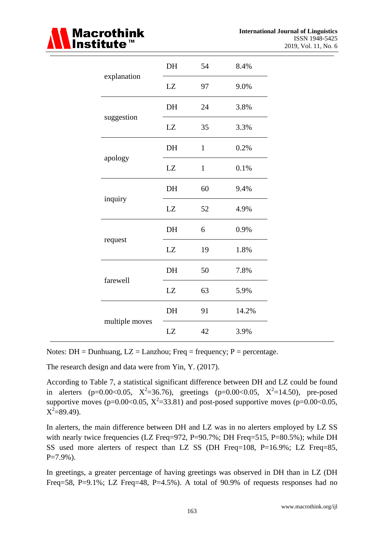

|                | DH | 54           | 8.4%  |
|----------------|----|--------------|-------|
| explanation    | LZ | 97           | 9.0%  |
|                | DH | 24           | 3.8%  |
| suggestion     | LZ | 35           | 3.3%  |
|                | DH | $\mathbf{1}$ | 0.2%  |
| apology        | LZ | $\mathbf{1}$ | 0.1%  |
|                | DH | 60           | 9.4%  |
| inquiry        | LZ | 52           | 4.9%  |
|                | DH | 6            | 0.9%  |
| request        | LZ | 19           | 1.8%  |
|                | DH | 50           | 7.8%  |
| farewell       | LZ | 63           | 5.9%  |
|                | DH | 91           | 14.2% |
| multiple moves | LZ | 42           | 3.9%  |

Notes:  $DH = Dunhuang$ ,  $LZ = Lanzhou$ ; Freq = frequency; P = percentage.

The research design and data were from Yin, Y. (2017).

According to Table 7, a statistical significant difference between DH and LZ could be found in alerters (p=0.00<0.05,  $X^2$ =36.76), greetings (p=0.00<0.05,  $X^2$ =14.50), pre-posed supportive moves (p=0.00<0.05,  $X^2$ =33.81) and post-posed supportive moves (p=0.00<0.05,  $X^2 = 89.49$ .

In alerters, the main difference between DH and LZ was in no alerters employed by LZ SS with nearly twice frequencies (LZ Freq=972, P=90.7%; DH Freq=515, P=80.5%); while DH SS used more alerters of respect than LZ SS (DH Freq=108, P=16.9%; LZ Freq=85,  $P=7.9\%$ ).

In greetings, a greater percentage of having greetings was observed in DH than in LZ (DH Freq=58, P=9.1%; LZ Freq=48, P=4.5%). A total of 90.9% of requests responses had no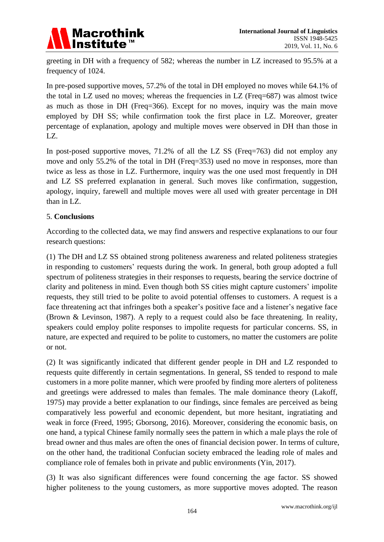

greeting in DH with a frequency of 582; whereas the number in LZ increased to 95.5% at a frequency of 1024.

In pre-posed supportive moves, 57.2% of the total in DH employed no moves while 64.1% of the total in LZ used no moves; whereas the frequencies in LZ (Freq=687) was almost twice as much as those in DH (Freq=366). Except for no moves, inquiry was the main move employed by DH SS; while confirmation took the first place in LZ. Moreover, greater percentage of explanation, apology and multiple moves were observed in DH than those in LZ.

In post-posed supportive moves, 71.2% of all the LZ SS (Freq=763) did not employ any move and only 55.2% of the total in DH (Freq=353) used no move in responses, more than twice as less as those in LZ. Furthermore, inquiry was the one used most frequently in DH and LZ SS preferred explanation in general. Such moves like confirmation, suggestion, apology, inquiry, farewell and multiple moves were all used with greater percentage in DH than in LZ.

#### 5. **Conclusions**

According to the collected data, we may find answers and respective explanations to our four research questions:

(1) The DH and LZ SS obtained strong politeness awareness and related politeness strategies in responding to customers' requests during the work. In general, both group adopted a full spectrum of politeness strategies in their responses to requests, bearing the service doctrine of clarity and politeness in mind. Even though both SS cities might capture customers' impolite requests, they still tried to be polite to avoid potential offenses to customers. A request is a face threatening act that infringes both a speaker's positive face and a listener's negative face (Brown & Levinson, 1987). A reply to a request could also be face threatening. In reality, speakers could employ polite responses to impolite requests for particular concerns. SS, in nature, are expected and required to be polite to customers, no matter the customers are polite or not.

(2) It was significantly indicated that different gender people in DH and LZ responded to requests quite differently in certain segmentations. In general, SS tended to respond to male customers in a more polite manner, which were proofed by finding more alerters of politeness and greetings were addressed to males than females. The male dominance theory (Lakoff, 1975) may provide a better explanation to our findings, since females are perceived as being comparatively less powerful and economic dependent, but more hesitant, ingratiating and weak in force (Freed, 1995; Gborsong, 2016). Moreover, considering the economic basis, on one hand, a typical Chinese family normally sees the pattern in which a male plays the role of bread owner and thus males are often the ones of financial decision power. In terms of culture, on the other hand, the traditional Confucian society embraced the leading role of males and compliance role of females both in private and public environments (Yin, 2017).

(3) It was also significant differences were found concerning the age factor. SS showed higher politeness to the young customers, as more supportive moves adopted. The reason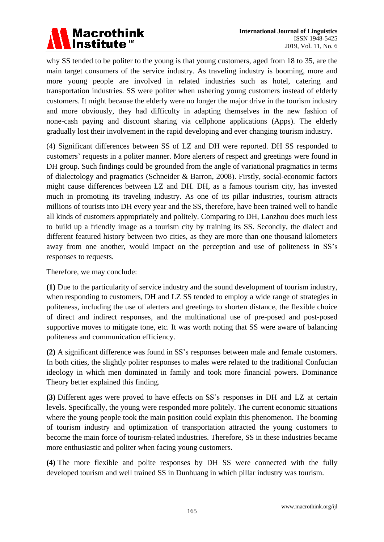

why SS tended to be politer to the young is that young customers, aged from 18 to 35, are the main target consumers of the service industry. As traveling industry is booming, more and more young people are involved in related industries such as hotel, catering and transportation industries. SS were politer when ushering young customers instead of elderly customers. It might because the elderly were no longer the major drive in the tourism industry and more obviously, they had difficulty in adapting themselves in the new fashion of none-cash paying and discount sharing via cellphone applications (Apps). The elderly gradually lost their involvement in the rapid developing and ever changing tourism industry.

(4) Significant differences between SS of LZ and DH were reported. DH SS responded to customers' requests in a politer manner. More alerters of respect and greetings were found in DH group. Such findings could be grounded from the angle of variational pragmatics in terms of dialectology and pragmatics (Schneider & Barron, 2008). Firstly, social-economic factors might cause differences between LZ and DH. DH, as a famous tourism city, has invested much in promoting its traveling industry. As one of its pillar industries, tourism attracts millions of tourists into DH every year and the SS, therefore, have been trained well to handle all kinds of customers appropriately and politely. Comparing to DH, Lanzhou does much less to build up a friendly image as a tourism city by training its SS. Secondly, the dialect and different featured history between two cities, as they are more than one thousand kilometers away from one another, would impact on the perception and use of politeness in SS's responses to requests.

Therefore, we may conclude:

**(1)** Due to the particularity of service industry and the sound development of tourism industry, when responding to customers, DH and LZ SS tended to employ a wide range of strategies in politeness, including the use of alerters and greetings to shorten distance, the flexible choice of direct and indirect responses, and the multinational use of pre-posed and post-posed supportive moves to mitigate tone, etc. It was worth noting that SS were aware of balancing politeness and communication efficiency.

**(2)** A significant difference was found in SS's responses between male and female customers. In both cities, the slightly politer responses to males were related to the traditional Confucian ideology in which men dominated in family and took more financial powers. Dominance Theory better explained this finding.

**(3)** Different ages were proved to have effects on SS's responses in DH and LZ at certain levels. Specifically, the young were responded more politely. The current economic situations where the young people took the main position could explain this phenomenon. The booming of tourism industry and optimization of transportation attracted the young customers to become the main force of tourism-related industries. Therefore, SS in these industries became more enthusiastic and politer when facing young customers.

**(4)** The more flexible and polite responses by DH SS were connected with the fully developed tourism and well trained SS in Dunhuang in which pillar industry was tourism.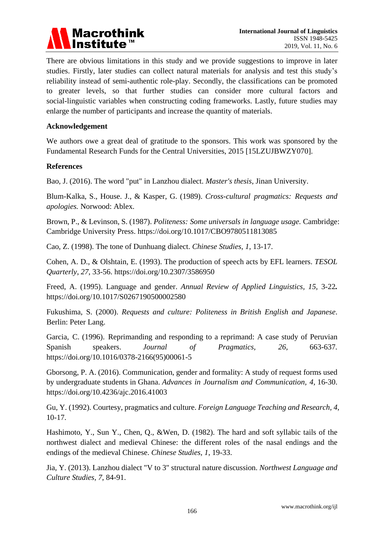

There are obvious limitations in this study and we provide suggestions to improve in later studies. Firstly, later studies can collect natural materials for analysis and test this study's reliability instead of semi-authentic role-play. Secondly, the classifications can be promoted to greater levels, so that further studies can consider more cultural factors and social-linguistic variables when constructing coding frameworks. Lastly, future studies may enlarge the number of participants and increase the quantity of materials.

#### **Acknowledgement**

We authors owe a great deal of gratitude to the sponsors. This work was sponsored by the Fundamental Research Funds for the Central Universities, 2015 [15LZUJBWZY070].

#### **References**

Bao, J. (2016). The word "put" in Lanzhou dialect. *Master's thesis*, Jinan University.

Blum-Kalka, S., House. J., & Kasper, G. (1989). *Cross-cultural pragmatics: Requests and apologies.* Norwood: Ablex.

Brown, P., & Levinson, S. (1987). *Politeness: Some universals in language usage.* Cambridge: Cambridge University Press. https://doi.org/10.1017/CBO9780511813085

Cao, Z. (1998). The tone of Dunhuang dialect. *Chinese Studies, 1*, 13-17.

Cohen, A. D., & Olshtain, E. (1993). The production of speech acts by EFL learners. *TESOL Quarterly*, *27*, 33-56. https://doi.org/10.2307/3586950

Freed, A. (1995). Language and gender. *Annual Review of Applied Linguistics, 15,* 3-22*.* https://doi.org/10.1017/S0267190500002580

Fukushima, S. (2000). *Requests and culture: Politeness in British English and Japanese*. Berlin: Peter Lang.

Garcia, C. (1996). Reprimanding and responding to a reprimand: A case study of Peruvian Spanish speakers. *Journal of Pragmatics, 26,* 663-637*.* https://doi.org/10.1016/0378-2166(95)00061-5

Gborsong, P. A. (2016). Communication, gender and formality: A study of request forms used by undergraduate students in Ghana. *Advances in Journalism and Communication, 4,* 16-30. https://doi.org/10.4236/ajc.2016.41003

Gu, Y. (1992). Courtesy, pragmatics and culture. *Foreign Language Teaching and Research, 4*, 10-17.

Hashimoto, Y., Sun Y., Chen, Q., &Wen, D. (1982). The hard and soft syllabic tails of the northwest dialect and medieval Chinese: the different roles of the nasal endings and the endings of the medieval Chinese. *Chinese Studies, 1*, 19-33.

Jia, Y. (2013). Lanzhou dialect "V to 3" structural nature discussion. *Northwest Language and Culture Studies, 7*, 84-91.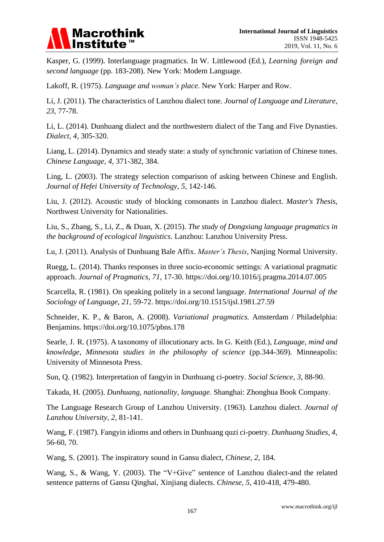

Kasper, G. (1999). Interlanguage pragmatics. In W. Littlewood (Ed.), *Learning foreign and second language* (pp. 183-208). New York: Modem Language.

Lakoff, R. (1975). *Language and woman's place.* New York: Harper and Row.

Li, J. (2011). The characteristics of Lanzhou dialect tone. *Journal of Language and Literature, 23*, 77-78.

Li, L. (2014). Dunhuang dialect and the northwestern dialect of the Tang and Five Dynasties. *Dialect, 4*, 305-320.

Liang, L. (2014). Dynamics and steady state: a study of synchronic variation of Chinese tones. *Chinese Language, 4*, 371-382, 384.

Ling, L. (2003). The strategy selection comparison of asking between Chinese and English. *Journal of Hefei University of Technology, 5*, 142-146.

Liu, J. (2012). Acoustic study of blocking consonants in Lanzhou dialect. *Master's Thesis*, Northwest University for Nationalities.

Liu, S., Zhang, S., Li, Z., & Duan, X. (2015). *The study of Dongxiang language pragmatics in the background of ecological linguistics*. Lanzhou: Lanzhou University Press.

Lu, J. (2011). Analysis of Dunhuang Bale Affix. *Master's Thesis*, Nanjing Normal University.

Ruegg, L. (2014). Thanks responses in three socio-economic settings: A variational pragmatic approach. *Journal of Pragmatics, 71,* 17-30. https://doi.org/10.1016/j.pragma.2014.07.005

Scarcella, R. (1981). On speaking politely in a second language. *International Journal of the Sociology of Language, 21,* 59-72. https://doi.org/10.1515/ijsl.1981.27.59

Schneider, K. P., & Baron, A. (2008). *Variational pragmatics.* Amsterdam / Philadelphia: Benjamins. https://doi.org/10.1075/pbns.178

Searle, J. R. (1975). A taxonomy of illocutionary acts. In G. Keith (Ed.), *Language, mind and knowledge, Minnesota studies in the philosophy of science* (pp.344-369). Minneapolis: University of Minnesota Press.

Sun, Q. (1982). Interpretation of fangyin in Dunhuang ci-poetry. *Social Science, 3*, 88-90.

Takada, H. (2005). *Dunhuang, nationality, language*. Shanghai: Zhonghua Book Company.

The Language Research Group of Lanzhou University. (1963). Lanzhou dialect. *Journal of Lanzhou University, 2*, 81-141.

Wang, F. (1987). Fangyin idioms and others in Dunhuang quzi ci-poetry. *Dunhuang Studies, 4*, 56-60, 70.

Wang, S. (2001). The inspiratory sound in Gansu dialect, *Chinese, 2*, 184.

Wang, S., & Wang, Y. (2003). The "V+Give" sentence of Lanzhou dialect-and the related sentence patterns of Gansu Qinghai, Xinjiang dialects. *Chinese, 5*, 410-418, 479-480.